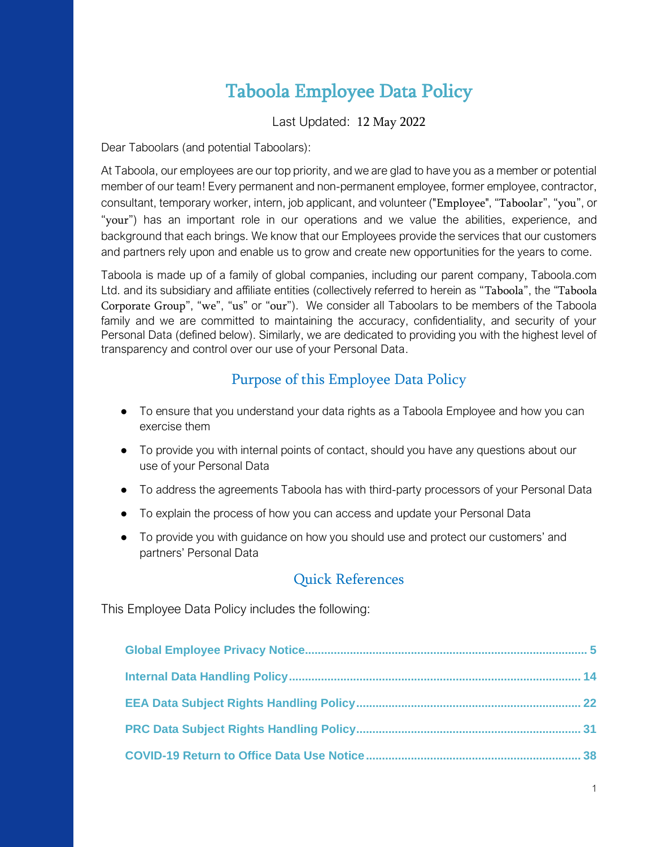## Taboola Employee Data Policy

Last Updated: 12 May 2022

Dear Taboolars (and potential Taboolars):

At Taboola, our employees are our top priority, and we are glad to have you as a member or potential member of our team! Every permanent and non-permanent employee, former employee, contractor, consultant, temporary worker, intern, job applicant, and volunteer ("Employee", "Taboolar", "you", or "your") has an important role in our operations and we value the abilities, experience, and background that each brings. We know that our Employees provide the services that our customers and partners rely upon and enable us to grow and create new opportunities for the years to come.

Taboola is made up of a family of global companies, including our parent company, Taboola.com Ltd. and its subsidiary and affiliate entities (collectively referred to herein as "Taboola", the "Taboola Corporate Group", "we", "us" or "our"). We consider all Taboolars to be members of the Taboola family and we are committed to maintaining the accuracy, confidentiality, and security of your Personal Data (defined below). Similarly, we are dedicated to providing you with the highest level of transparency and control over our use of your Personal Data.

## Purpose of this Employee Data Policy

- To ensure that you understand your data rights as a Taboola Employee and how you can exercise them
- To provide you with internal points of contact, should you have any questions about our use of your Personal Data
- To address the agreements Taboola has with third-party processors of your Personal Data
- To explain the process of how you can access and update your Personal Data
- To provide you with guidance on how you should use and protect our customers' and partners' Personal Data

## Quick References

This Employee Data Policy includes the following: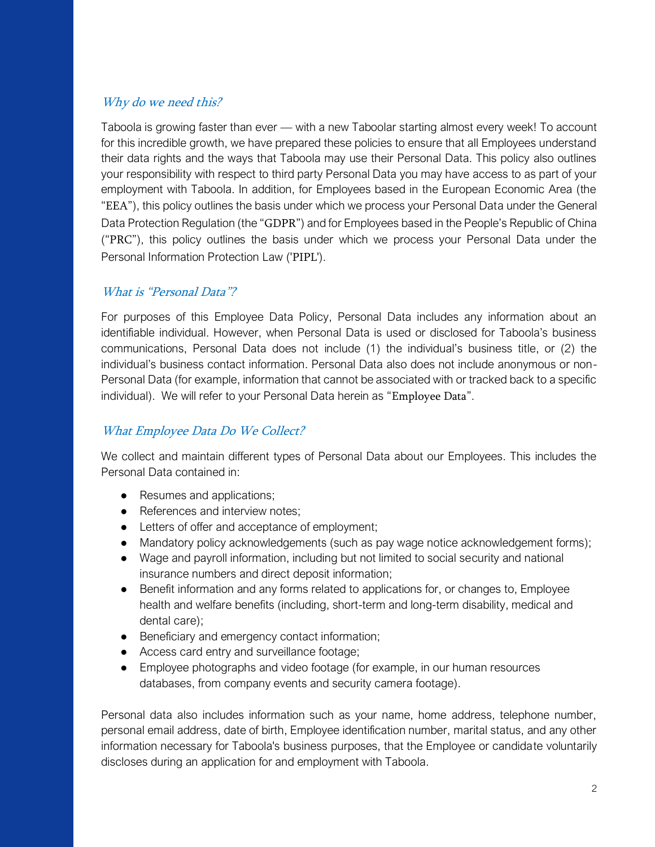## Why do we need this?

Taboola is growing faster than ever — with a new Taboolar starting almost every week! To account for this incredible growth, we have prepared these policies to ensure that all Employees understand their data rights and the ways that Taboola may use their Personal Data. This policy also outlines your responsibility with respect to third party Personal Data you may have access to as part of your employment with Taboola. In addition, for Employees based in the European Economic Area (the "EEA"), this policy outlines the basis under which we process your Personal Data under the General Data Protection Regulation (the "GDPR") and for Employees based in the People's Republic of China ("PRC"), this policy outlines the basis under which we process your Personal Data under the Personal Information Protection Law ('PIPL').

## What is "Personal Data"?

For purposes of this Employee Data Policy, Personal Data includes any information about an identifiable individual. However, when Personal Data is used or disclosed for Taboola's business communications, Personal Data does not include (1) the individual's business title, or (2) the individual's business contact information. Personal Data also does not include anonymous or non-Personal Data (for example, information that cannot be associated with or tracked back to a specific individual). We will refer to your Personal Data herein as "Employee Data".

## What Employee Data Do We Collect?

We collect and maintain different types of Personal Data about our Employees. This includes the Personal Data contained in:

- Resumes and applications;
- References and interview notes;
- Letters of offer and acceptance of employment;
- Mandatory policy acknowledgements (such as pay wage notice acknowledgement forms);
- Wage and payroll information, including but not limited to social security and national insurance numbers and direct deposit information;
- Benefit information and any forms related to applications for, or changes to, Employee health and welfare benefits (including, short-term and long-term disability, medical and dental care);
- Beneficiary and emergency contact information;
- Access card entry and surveillance footage;
- Employee photographs and video footage (for example, in our human resources databases, from company events and security camera footage).

Personal data also includes information such as your name, home address, telephone number, personal email address, date of birth, Employee identification number, marital status, and any other information necessary for Taboola's business purposes, that the Employee or candidate voluntarily discloses during an application for and employment with Taboola.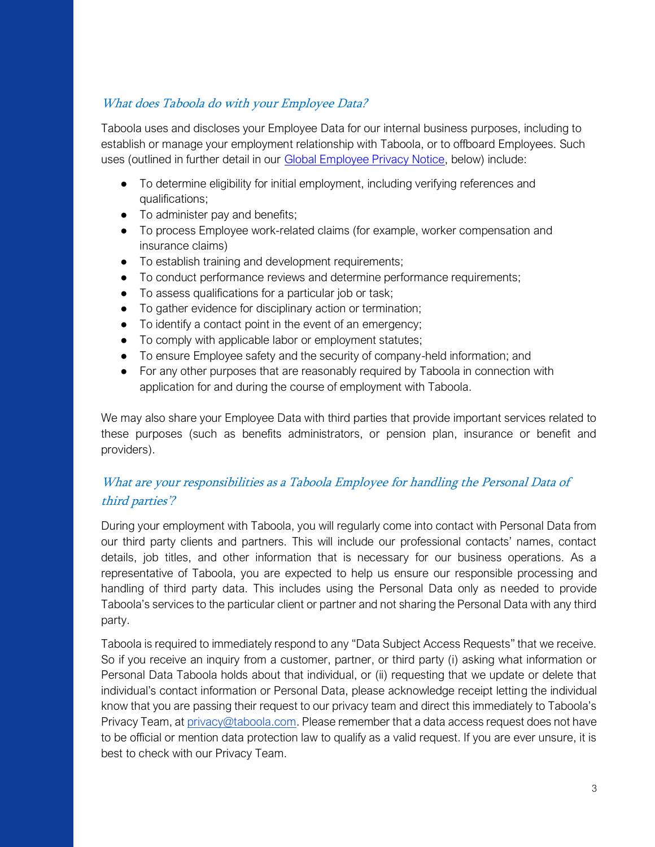## What does Taboola do with your Employee Data?

Taboola uses and discloses your Employee Data for our internal business purposes, including to establish or manage your employment relationship with Taboola, or to offboard Employees. Such uses (outlined in further detail in our Global Employee Privacy Notice, below) include:

- To determine eligibility for initial employment, including verifying references and qualifications;
- To administer pay and benefits;
- To process Employee work-related claims (for example, worker compensation and insurance claims)
- To establish training and development requirements;
- To conduct performance reviews and determine performance requirements;
- To assess qualifications for a particular job or task;
- To gather evidence for disciplinary action or termination;
- To identify a contact point in the event of an emergency;
- To comply with applicable labor or employment statutes;
- To ensure Employee safety and the security of company-held information; and
- For any other purposes that are reasonably required by Taboola in connection with application for and during the course of employment with Taboola.

We may also share your Employee Data with third parties that provide important services related to these purposes (such as benefits administrators, or pension plan, insurance or benefit and providers).

## What are your responsibilities as a Taboola Employee for handling the Personal Data of third parties'?

During your employment with Taboola, you will regularly come into contact with Personal Data from our third party clients and partners. This will include our professional contacts' names, contact details, job titles, and other information that is necessary for our business operations. As a representative of Taboola, you are expected to help us ensure our responsible processing and handling of third party data. This includes using the Personal Data only as needed to provide Taboola's services to the particular client or partner and not sharing the Personal Data with any third party.

Taboola is required to immediately respond to any "Data Subject Access Requests" that we receive. So if you receive an inquiry from a customer, partner, or third party (i) asking what information or Personal Data Taboola holds about that individual, or (ii) requesting that we update or delete that individual's contact information or Personal Data, please acknowledge receipt letting the individual know that you are passing their request to our privacy team and direct this immediately to Taboola's Privacy Team, a[t privacy@taboola.com.](mailto:privacy@taboola.com) Please remember that a data access request does not have to be official or mention data protection law to qualify as a valid request. If you are ever unsure, it is best to check with our Privacy Team.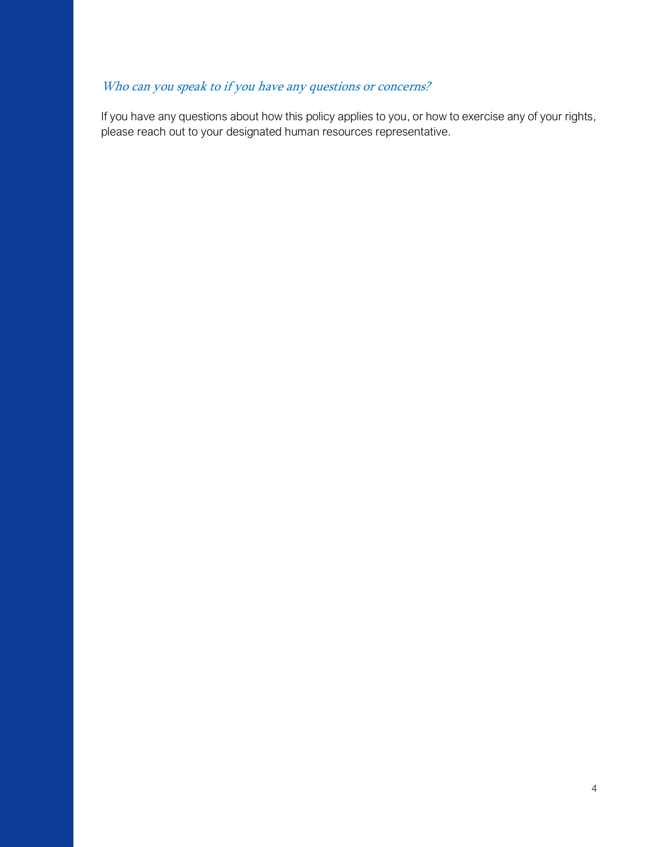## Who can you speak to if you have any questions or concerns?

If you have any questions about how this policy applies to you, or how to exercise any of your rights, please reach out to your designated human resources representative.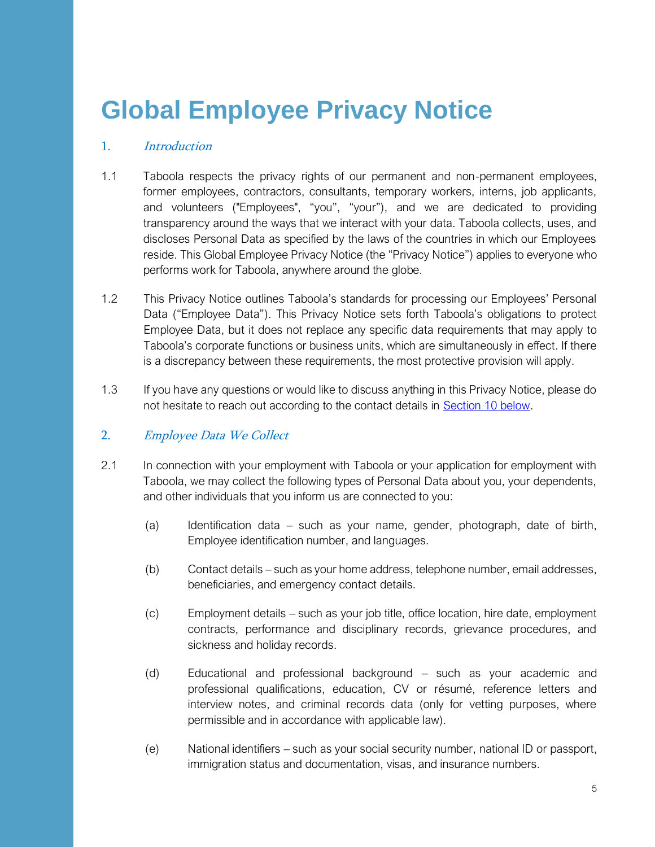## <span id="page-4-0"></span>**Global Employee Privacy Notice**

#### 1. Introduction

- 1.1 Taboola respects the privacy rights of our permanent and non-permanent employees, former employees, contractors, consultants, temporary workers, interns, job applicants, and volunteers ("Employees", "you", "your"), and we are dedicated to providing transparency around the ways that we interact with your data. Taboola collects, uses, and discloses Personal Data as specified by the laws of the countries in which our Employees reside. This Global Employee Privacy Notice (the "Privacy Notice") applies to everyone who performs work for Taboola, anywhere around the globe.
- 1.2 This Privacy Notice outlines Taboola's standards for processing our Employees' Personal Data ("Employee Data"). This Privacy Notice sets forth Taboola's obligations to protect Employee Data, but it does not replace any specific data requirements that may apply to Taboola's corporate functions or business units, which are simultaneously in effect. If there is a discrepancy between these requirements, the most protective provision will apply.
- 1.3 If you have any questions or would like to discuss anything in this Privacy Notice, please do not hesitate to reach out according to the contact details in **Section 10 below**.

#### 2. Employee Data We Collect

- 2.1 In connection with your employment with Taboola or your application for employment with Taboola, we may collect the following types of Personal Data about you, your dependents, and other individuals that you inform us are connected to you:
	- (a) Identification data such as your name, gender, photograph, date of birth, Employee identification number, and languages.
	- (b) Contact details such as your home address, telephone number, email addresses, beneficiaries, and emergency contact details.
	- (c) Employment details such as your job title, office location, hire date, employment contracts, performance and disciplinary records, grievance procedures, and sickness and holiday records.
	- (d) Educational and professional background such as your academic and professional qualifications, education, CV or résumé, reference letters and interview notes, and criminal records data (only for vetting purposes, where permissible and in accordance with applicable law).
	- (e) National identifiers such as your social security number, national ID or passport, immigration status and documentation, visas, and insurance numbers.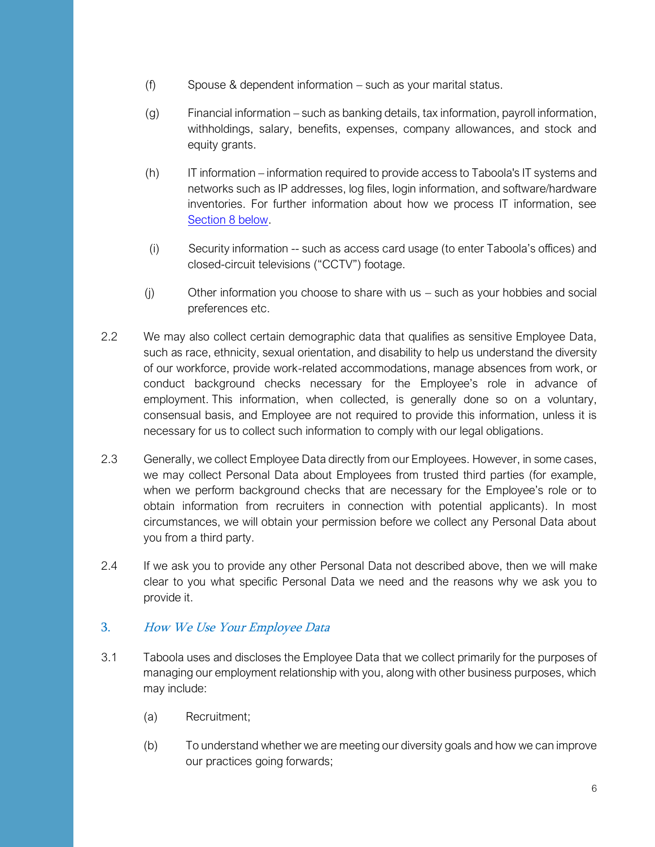- (f) Spouse & dependent information such as your marital status.
- (g) Financial information such as banking details, tax information, payroll information, withholdings, salary, benefits, expenses, company allowances, and stock and equity grants.
- (h) IT information information required to provide access to Taboola's IT systems and networks such as IP addresses, log files, login information, and software/hardware inventories. For further information about how we process IT information, see [Section 8 below.](#page-9-0)
- (i) Security information -- such as access card usage (to enter Taboola's offices) and closed-circuit televisions ("CCTV") footage.
- (j) Other information you choose to share with us such as your hobbies and social preferences etc.
- 2.2 We may also collect certain demographic data that qualifies as sensitive Employee Data, such as race, ethnicity, sexual orientation, and disability to help us understand the diversity of our workforce, provide work-related accommodations, manage absences from work, or conduct background checks necessary for the Employee's role in advance of employment. This information, when collected, is generally done so on a voluntary, consensual basis, and Employee are not required to provide this information, unless it is necessary for us to collect such information to comply with our legal obligations.
- 2.3 Generally, we collect Employee Data directly from our Employees. However, in some cases, we may collect Personal Data about Employees from trusted third parties (for example, when we perform background checks that are necessary for the Employee's role or to obtain information from recruiters in connection with potential applicants). In most circumstances, we will obtain your permission before we collect any Personal Data about you from a third party.
- 2.4 If we ask you to provide any other Personal Data not described above, then we will make clear to you what specific Personal Data we need and the reasons why we ask you to provide it.

## 3. How We Use Your Employee Data

- 3.1 Taboola uses and discloses the Employee Data that we collect primarily for the purposes of managing our employment relationship with you, along with other business purposes, which may include:
	- (a) Recruitment;
	- (b) To understand whether we are meeting our diversity goals and how we can improve our practices going forwards;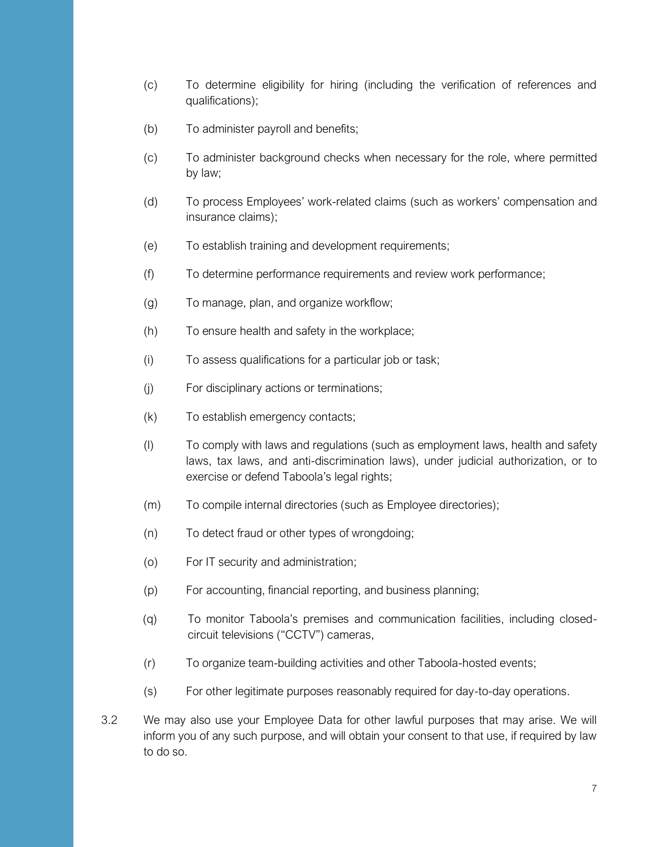- (c) To determine eligibility for hiring (including the verification of references and qualifications);
- (b) To administer payroll and benefits;
- (c) To administer background checks when necessary for the role, where permitted by law;
- (d) To process Employees' work-related claims (such as workers' compensation and insurance claims);
- (e) To establish training and development requirements;
- (f) To determine performance requirements and review work performance;
- (g) To manage, plan, and organize workflow;
- (h) To ensure health and safety in the workplace;
- (i) To assess qualifications for a particular job or task;
- (j) For disciplinary actions or terminations;
- (k) To establish emergency contacts;
- (l) To comply with laws and regulations (such as employment laws, health and safety laws, tax laws, and anti-discrimination laws), under judicial authorization, or to exercise or defend Taboola's legal rights;
- (m) To compile internal directories (such as Employee directories);
- (n) To detect fraud or other types of wrongdoing;
- (o) For IT security and administration;
- (p) For accounting, financial reporting, and business planning;
- (q) To monitor Taboola's premises and communication facilities, including closedcircuit televisions ("CCTV") cameras,
- (r) To organize team-building activities and other Taboola-hosted events;
- (s) For other legitimate purposes reasonably required for day-to-day operations.
- 3.2 We may also use your Employee Data for other lawful purposes that may arise. We will inform you of any such purpose, and will obtain your consent to that use, if required by law to do so.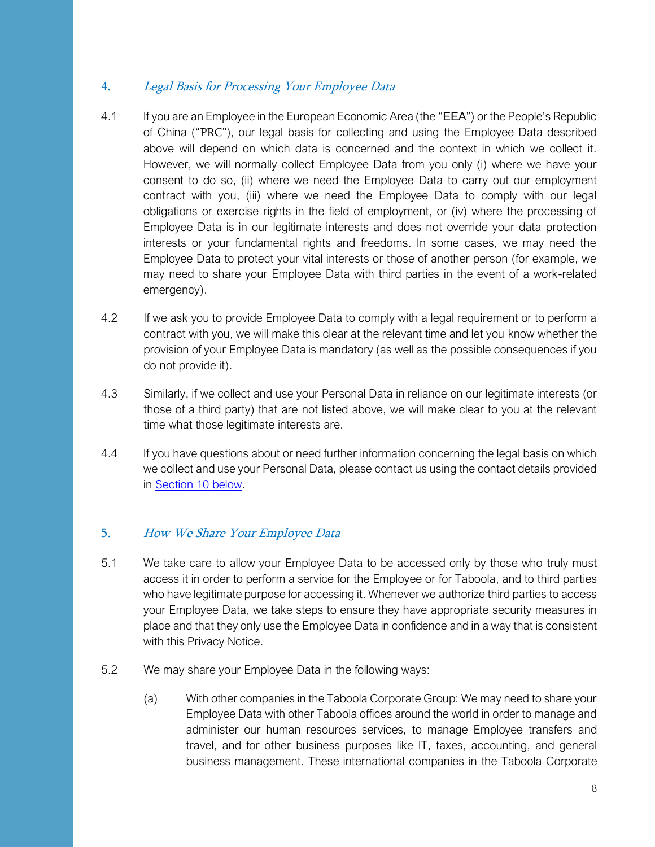## 4. Legal Basis for Processing Your Employee Data

- 4.1 If you are an Employee in the European Economic Area (the "EEA") or the People's Republic of China ("PRC"), our legal basis for collecting and using the Employee Data described above will depend on which data is concerned and the context in which we collect it. However, we will normally collect Employee Data from you only (i) where we have your consent to do so, (ii) where we need the Employee Data to carry out our employment contract with you, (iii) where we need the Employee Data to comply with our legal obligations or exercise rights in the field of employment, or (iv) where the processing of Employee Data is in our legitimate interests and does not override your data protection interests or your fundamental rights and freedoms. In some cases, we may need the Employee Data to protect your vital interests or those of another person (for example, we may need to share your Employee Data with third parties in the event of a work-related emergency).
- 4.2 If we ask you to provide Employee Data to comply with a legal requirement or to perform a contract with you, we will make this clear at the relevant time and let you know whether the provision of your Employee Data is mandatory (as well as the possible consequences if you do not provide it).
- 4.3 Similarly, if we collect and use your Personal Data in reliance on our legitimate interests (or those of a third party) that are not listed above, we will make clear to you at the relevant time what those legitimate interests are.
- 4.4 If you have questions about or need further information concerning the legal basis on which we collect and use your Personal Data, please contact us using the contact details provided in [Section 10 below.](#page-11-0)

## 5. How We Share Your Employee Data

- 5.1 We take care to allow your Employee Data to be accessed only by those who truly must access it in order to perform a service for the Employee or for Taboola, and to third parties who have legitimate purpose for accessing it. Whenever we authorize third parties to access your Employee Data, we take steps to ensure they have appropriate security measures in place and that they only use the Employee Data in confidence and in a way that is consistent with this Privacy Notice.
- 5.2 We may share your Employee Data in the following ways:
	- (a) With other companies in the Taboola Corporate Group: We may need to share your Employee Data with other Taboola offices around the world in order to manage and administer our human resources services, to manage Employee transfers and travel, and for other business purposes like IT, taxes, accounting, and general business management. These international companies in the Taboola Corporate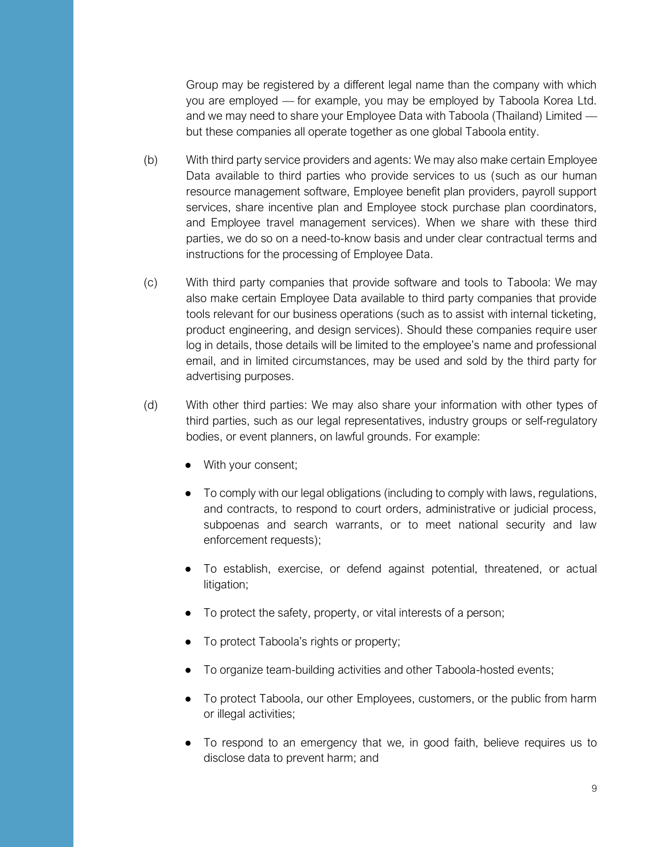Group may be registered by a different legal name than the company with which you are employed — for example, you may be employed by Taboola Korea Ltd. and we may need to share your Employee Data with Taboola (Thailand) Limited but these companies all operate together as one global Taboola entity.

- (b) With third party service providers and agents: We may also make certain Employee Data available to third parties who provide services to us (such as our human resource management software, Employee benefit plan providers, payroll support services, share incentive plan and Employee stock purchase plan coordinators, and Employee travel management services). When we share with these third parties, we do so on a need-to-know basis and under clear contractual terms and instructions for the processing of Employee Data.
- (c) With third party companies that provide software and tools to Taboola: We may also make certain Employee Data available to third party companies that provide tools relevant for our business operations (such as to assist with internal ticketing, product engineering, and design services). Should these companies require user log in details, those details will be limited to the employee's name and professional email, and in limited circumstances, may be used and sold by the third party for advertising purposes.
- (d) With other third parties: We may also share your information with other types of third parties, such as our legal representatives, industry groups or self-regulatory bodies, or event planners, on lawful grounds. For example:
	- With your consent;
	- To comply with our legal obligations (including to comply with laws, regulations, and contracts, to respond to court orders, administrative or judicial process, subpoenas and search warrants, or to meet national security and law enforcement requests);
	- To establish, exercise, or defend against potential, threatened, or actual litigation;
	- To protect the safety, property, or vital interests of a person;
	- To protect Taboola's rights or property;
	- To organize team-building activities and other Taboola-hosted events;
	- To protect Taboola, our other Employees, customers, or the public from harm or illegal activities;
	- To respond to an emergency that we, in good faith, believe requires us to disclose data to prevent harm; and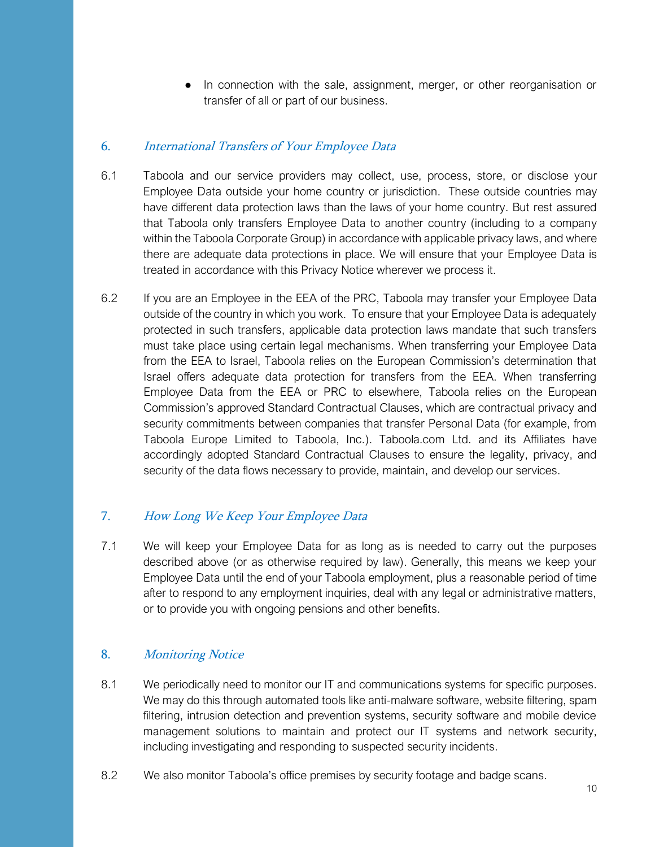● In connection with the sale, assignment, merger, or other reorganisation or transfer of all or part of our business.

#### 6. International Transfers of Your Employee Data

- 6.1 Taboola and our service providers may collect, use, process, store, or disclose your Employee Data outside your home country or jurisdiction. These outside countries may have different data protection laws than the laws of your home country. But rest assured that Taboola only transfers Employee Data to another country (including to a company within the Taboola Corporate Group) in accordance with applicable privacy laws, and where there are adequate data protections in place. We will ensure that your Employee Data is treated in accordance with this Privacy Notice wherever we process it.
- 6.2 If you are an Employee in the EEA of the PRC, Taboola may transfer your Employee Data outside of the country in which you work. To ensure that your Employee Data is adequately protected in such transfers, applicable data protection laws mandate that such transfers must take place using certain legal mechanisms. When transferring your Employee Data from the EEA to Israel, Taboola relies on the European Commission's determination that Israel offers adequate data protection for transfers from the EEA. When transferring Employee Data from the EEA or PRC to elsewhere, Taboola relies on the European Commission's approved Standard Contractual Clauses, which are contractual privacy and security commitments between companies that transfer Personal Data (for example, from Taboola Europe Limited to Taboola, Inc.). Taboola.com Ltd. and its Affiliates have accordingly adopted Standard Contractual Clauses to ensure the legality, privacy, and security of the data flows necessary to provide, maintain, and develop our services.

## 7. How Long We Keep Your Employee Data

7.1 We will keep your Employee Data for as long as is needed to carry out the purposes described above (or as otherwise required by law). Generally, this means we keep your Employee Data until the end of your Taboola employment, plus a reasonable period of time after to respond to any employment inquiries, deal with any legal or administrative matters, or to provide you with ongoing pensions and other benefits.

## <span id="page-9-0"></span>8. Monitoring Notice

- 8.1 We periodically need to monitor our IT and communications systems for specific purposes. We may do this through automated tools like anti-malware software, website filtering, spam filtering, intrusion detection and prevention systems, security software and mobile device management solutions to maintain and protect our IT systems and network security, including investigating and responding to suspected security incidents.
- 8.2 We also monitor Taboola's office premises by security footage and badge scans.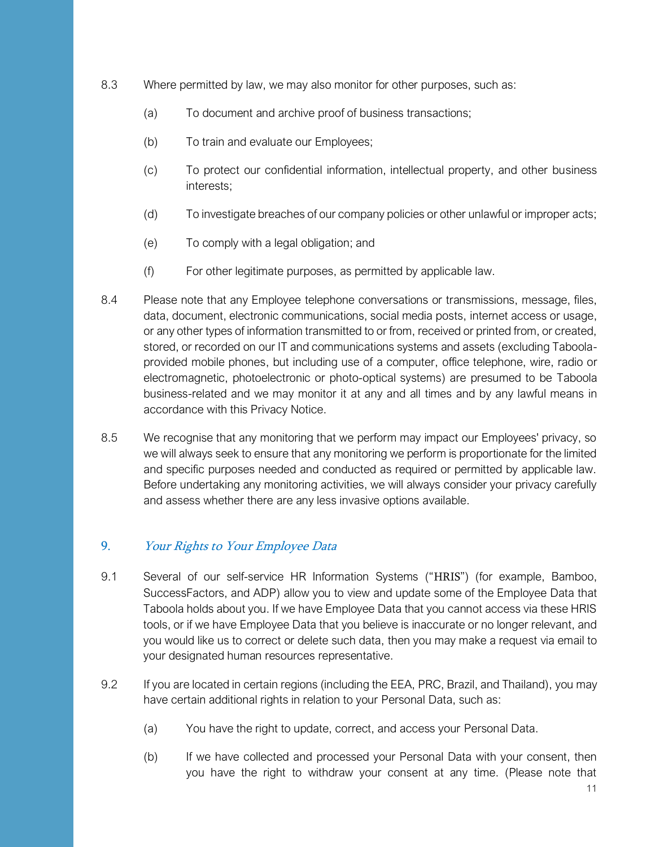- 8.3 Where permitted by law, we may also monitor for other purposes, such as:
	- (a) To document and archive proof of business transactions;
	- (b) To train and evaluate our Employees;
	- (c) To protect our confidential information, intellectual property, and other business interests;
	- (d) To investigate breaches of our company policies or other unlawful or improper acts;
	- (e) To comply with a legal obligation; and
	- (f) For other legitimate purposes, as permitted by applicable law.
- 8.4 Please note that any Employee telephone conversations or transmissions, message, files, data, document, electronic communications, social media posts, internet access or usage, or any other types of information transmitted to or from, received or printed from, or created, stored, or recorded on our IT and communications systems and assets (excluding Taboolaprovided mobile phones, but including use of a computer, office telephone, wire, radio or electromagnetic, photoelectronic or photo-optical systems) are presumed to be Taboola business-related and we may monitor it at any and all times and by any lawful means in accordance with this Privacy Notice.
- 8.5 We recognise that any monitoring that we perform may impact our Employees' privacy, so we will always seek to ensure that any monitoring we perform is proportionate for the limited and specific purposes needed and conducted as required or permitted by applicable law. Before undertaking any monitoring activities, we will always consider your privacy carefully and assess whether there are any less invasive options available.

#### 9. Your Rights to Your Employee Data

- 9.1 Several of our self-service HR Information Systems ("HRIS") (for example, Bamboo, SuccessFactors, and ADP) allow you to view and update some of the Employee Data that Taboola holds about you. If we have Employee Data that you cannot access via these HRIS tools, or if we have Employee Data that you believe is inaccurate or no longer relevant, and you would like us to correct or delete such data, then you may make a request via email to your designated human resources representative.
- 9.2 If you are located in certain regions (including the EEA, PRC, Brazil, and Thailand), you may have certain additional rights in relation to your Personal Data, such as:
	- (a) You have the right to update, correct, and access your Personal Data.
	- (b) If we have collected and processed your Personal Data with your consent, then you have the right to withdraw your consent at any time. (Please note that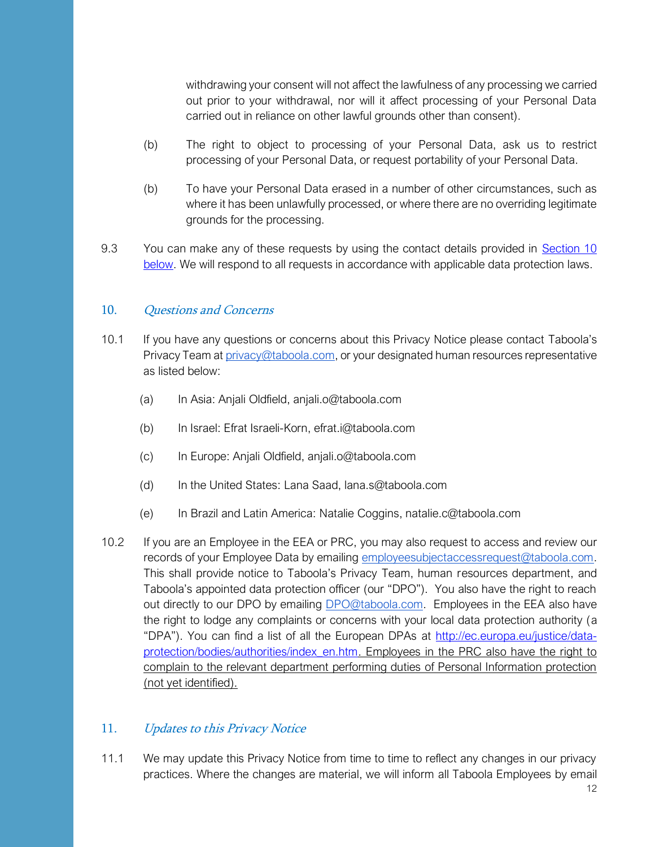withdrawing your consent will not affect the lawfulness of any processing we carried out prior to your withdrawal, nor will it affect processing of your Personal Data carried out in reliance on other lawful grounds other than consent).

- (b) The right to object to processing of your Personal Data, ask us to restrict processing of your Personal Data, or request portability of your Personal Data.
- (b) To have your Personal Data erased in a number of other circumstances, such as where it has been unlawfully processed, or where there are no overriding legitimate grounds for the processing.
- 9.3 You can make any of these requests by using the contact details provided in [Section 10](#page-11-0)  [below.](#page-11-0) We will respond to all requests in accordance with applicable data protection laws.

#### <span id="page-11-0"></span>10. Ouestions and Concerns

- 10.1 If you have any questions or concerns about this Privacy Notice please contact Taboola's Privacy Team a[t privacy@taboola.com,](mailto:privacy@taboola.com) or your designated human resources representative as listed below:
	- (a) In Asia: Anjali Oldfield, anjali.o@taboola.com
	- (b) In Israel: Efrat Israeli-Korn, efrat.i@taboola.com
	- (c) In Europe: Anjali Oldfield, anjali.o@taboola.com
	- (d) In the United States: Lana Saad, lana.s@taboola.com
	- (e) In Brazil and Latin America: Natalie Coggins, natalie.c@taboola.com
- 10.2 If you are an Employee in the EEA or PRC, you may also request to access and review our records of your Employee Data by emailing [employeesubjectaccessrequest@taboola.com.](mailto:EmployeeSubjectAccessRights@taboola.com) This shall provide notice to Taboola's Privacy Team, human resources department, and Taboola's appointed data protection officer (our "DPO"). You also have the right to reach out directly to our DPO by emailing **DPO@taboola.com.** Employees in the EEA also have the right to lodge any complaints or concerns with your local data protection authority (a "DPA"). You can find a list of all the European DPAs at [http://ec.europa.eu/justice/data](http://ec.europa.eu/justice/data-protection/bodies/authorities/index_en.htm)[protection/bodies/authorities/index\\_en.htm.](http://ec.europa.eu/justice/data-protection/bodies/authorities/index_en.htm) Employees in the PRC also have the right to complain to the relevant department performing duties of Personal Information protection (not yet identified).

#### 11. Updates to this Privacy Notice

11.1 We may update this Privacy Notice from time to time to reflect any changes in our privacy practices. Where the changes are material, we will inform all Taboola Employees by email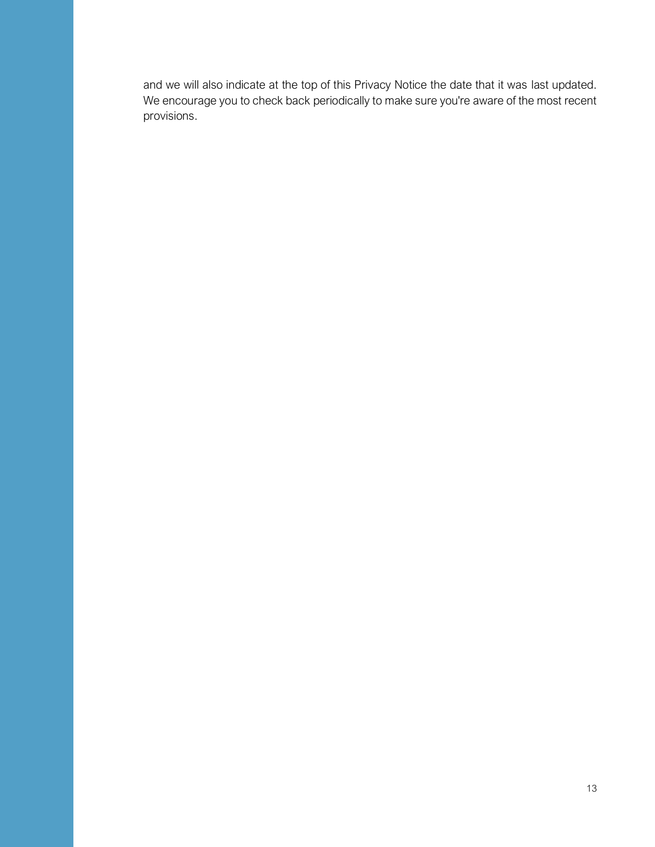and we will also indicate at the top of this Privacy Notice the date that it was last updated. We encourage you to check back periodically to make sure you're aware of the most recent provisions.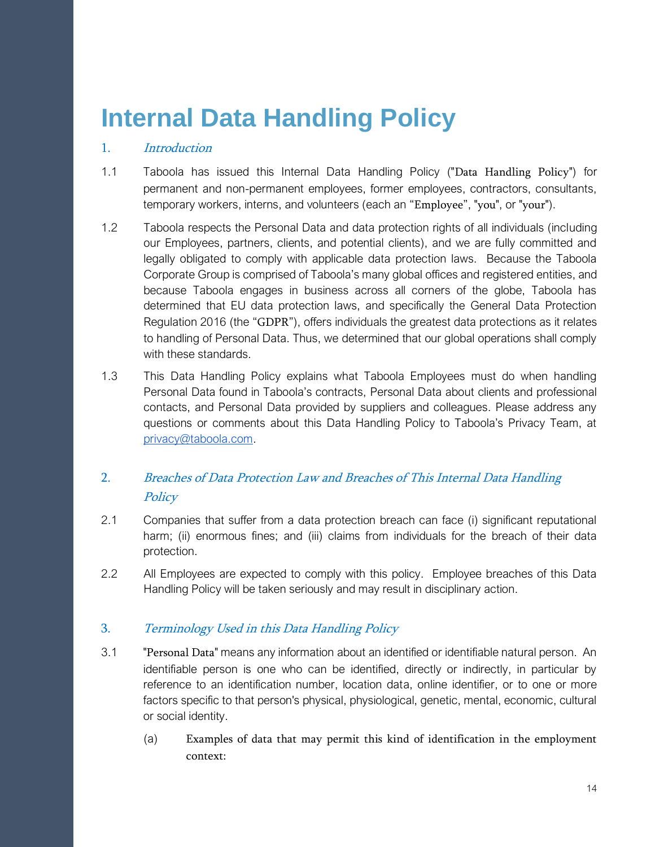## <span id="page-13-0"></span>**Internal Data Handling Policy**

#### 1. Introduction

- 1.1 Taboola has issued this Internal Data Handling Policy ("Data Handling Policy") for permanent and non-permanent employees, former employees, contractors, consultants, temporary workers, interns, and volunteers (each an "Employee", "you", or "your").
- 1.2 Taboola respects the Personal Data and data protection rights of all individuals (including our Employees, partners, clients, and potential clients), and we are fully committed and legally obligated to comply with applicable data protection laws. Because the Taboola Corporate Group is comprised of Taboola's many global offices and registered entities, and because Taboola engages in business across all corners of the globe, Taboola has determined that EU data protection laws, and specifically the General Data Protection Regulation 2016 (the "GDPR"), offers individuals the greatest data protections as it relates to handling of Personal Data. Thus, we determined that our global operations shall comply with these standards.
- 1.3 This Data Handling Policy explains what Taboola Employees must do when handling Personal Data found in Taboola's contracts, Personal Data about clients and professional contacts, and Personal Data provided by suppliers and colleagues. Please address any questions or comments about this Data Handling Policy to Taboola's Privacy Team, at [privacy@taboola.com.](mailto:privacy@taboola.com)

## 2. Breaches of Data Protection Law and Breaches of This Internal Data Handling **Policy**

- 2.1 Companies that suffer from a data protection breach can face (i) significant reputational harm; (ii) enormous fines; and (iii) claims from individuals for the breach of their data protection.
- 2.2 All Employees are expected to comply with this policy. Employee breaches of this Data Handling Policy will be taken seriously and may result in disciplinary action.

## 3. Terminology Used in this Data Handling Policy

- 3.1 "Personal Data" means any information about an identified or identifiable natural person. An identifiable person is one who can be identified, directly or indirectly, in particular by reference to an identification number, location data, online identifier, or to one or more factors specific to that person's physical, physiological, genetic, mental, economic, cultural or social identity.
	- (a) Examples of data that may permit this kind of identification in the employment context: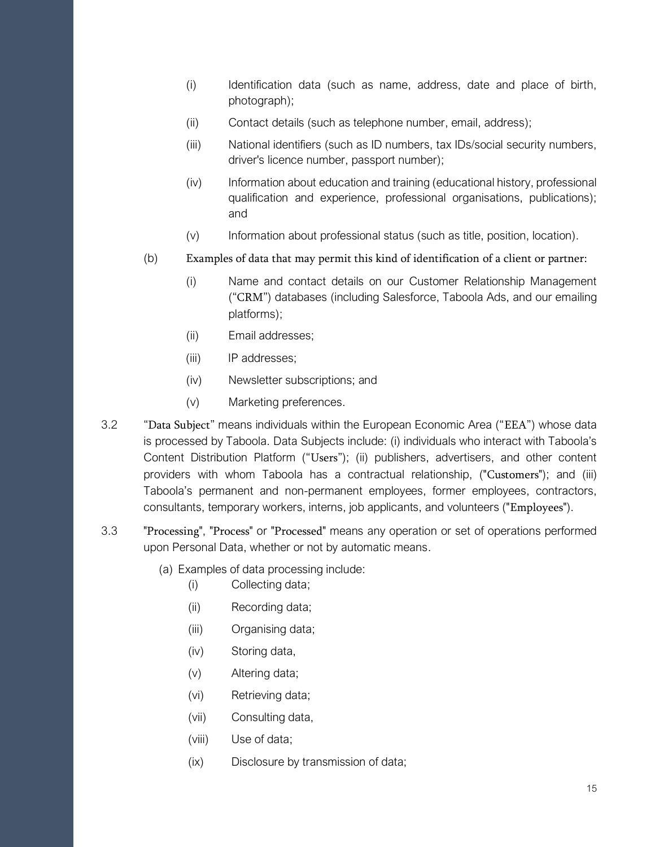- (i) Identification data (such as name, address, date and place of birth, photograph);
- (ii) Contact details (such as telephone number, email, address);
- (iii) National identifiers (such as ID numbers, tax IDs/social security numbers, driver's licence number, passport number);
- (iv) Information about education and training (educational history, professional qualification and experience, professional organisations, publications); and
- (v) Information about professional status (such as title, position, location).
- (b) Examples of data that may permit this kind of identification of a client or partner:
	- (i) Name and contact details on our Customer Relationship Management ("CRM") databases (including Salesforce, Taboola Ads, and our emailing platforms);
	- (ii) Email addresses;
	- (iii) IP addresses;
	- (iv) Newsletter subscriptions; and
	- (v) Marketing preferences.
- 3.2 "Data Subject" means individuals within the European Economic Area ("EEA") whose data is processed by Taboola. Data Subjects include: (i) individuals who interact with Taboola's Content Distribution Platform ("Users"); (ii) publishers, advertisers, and other content providers with whom Taboola has a contractual relationship, ("Customers"); and (iii) Taboola's permanent and non-permanent employees, former employees, contractors, consultants, temporary workers, interns, job applicants, and volunteers ("Employees").
- 3.3 "Processing", "Process" or "Processed" means any operation or set of operations performed upon Personal Data, whether or not by automatic means.
	- (a) Examples of data processing include:
		- (i) Collecting data;
		- (ii) Recording data;
		- (iii) Organising data;
		- (iv) Storing data,
		- (v) Altering data;
		- (vi) Retrieving data;
		- (vii) Consulting data,
		- (viii) Use of data;
		- (ix) Disclosure by transmission of data;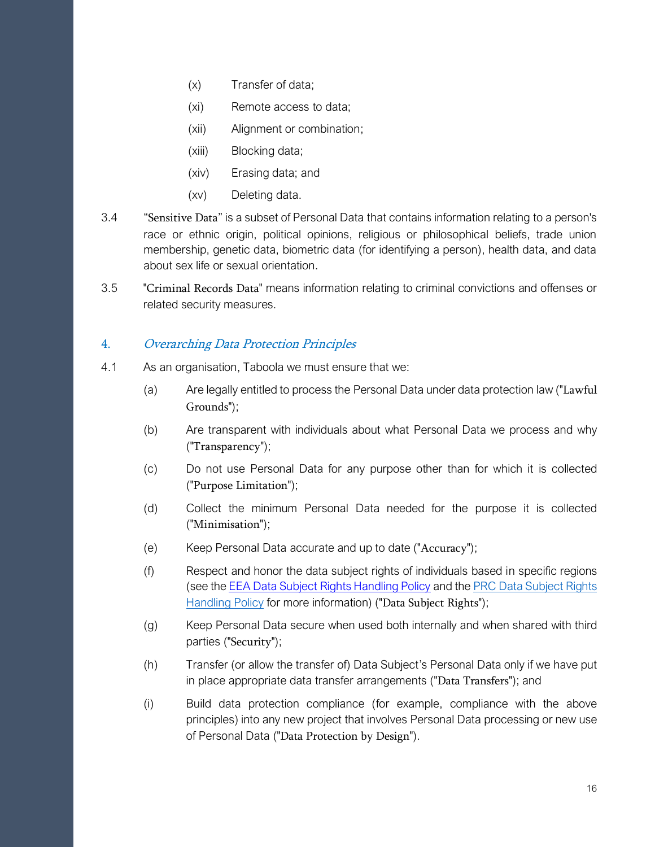- (x) Transfer of data;
- (xi) Remote access to data;
- (xii) Alignment or combination;
- (xiii) Blocking data;
- (xiv) Erasing data; and
- (xv) Deleting data.
- 3.4 "Sensitive Data" is a subset of Personal Data that contains information relating to a person's race or ethnic origin, political opinions, religious or philosophical beliefs, trade union membership, genetic data, biometric data (for identifying a person), health data, and data about sex life or sexual orientation.
- 3.5 "Criminal Records Data" means information relating to criminal convictions and offenses or related security measures.

#### 4. Overarching Data Protection Principles

- 4.1 As an organisation, Taboola we must ensure that we:
	- (a) Are legally entitled to process the Personal Data under data protection law ("Lawful Grounds");
	- (b) Are transparent with individuals about what Personal Data we process and why ("Transparency");
	- (c) Do not use Personal Data for any purpose other than for which it is collected ("Purpose Limitation");
	- (d) Collect the minimum Personal Data needed for the purpose it is collected ("Minimisation");
	- (e) Keep Personal Data accurate and up to date ("Accuracy");
	- (f) Respect and honor the data subject rights of individuals based in specific regions (see the EEA Data Subject Rights Handling Policy and th[e PRC Data Subject Rights](#page-30-0)  [Handling Policy](#page-30-0) for more information) ("Data Subject Rights");
	- (g) Keep Personal Data secure when used both internally and when shared with third parties ("Security");
	- (h) Transfer (or allow the transfer of) Data Subject's Personal Data only if we have put in place appropriate data transfer arrangements ("Data Transfers"); and
	- (i) Build data protection compliance (for example, compliance with the above principles) into any new project that involves Personal Data processing or new use of Personal Data ("Data Protection by Design").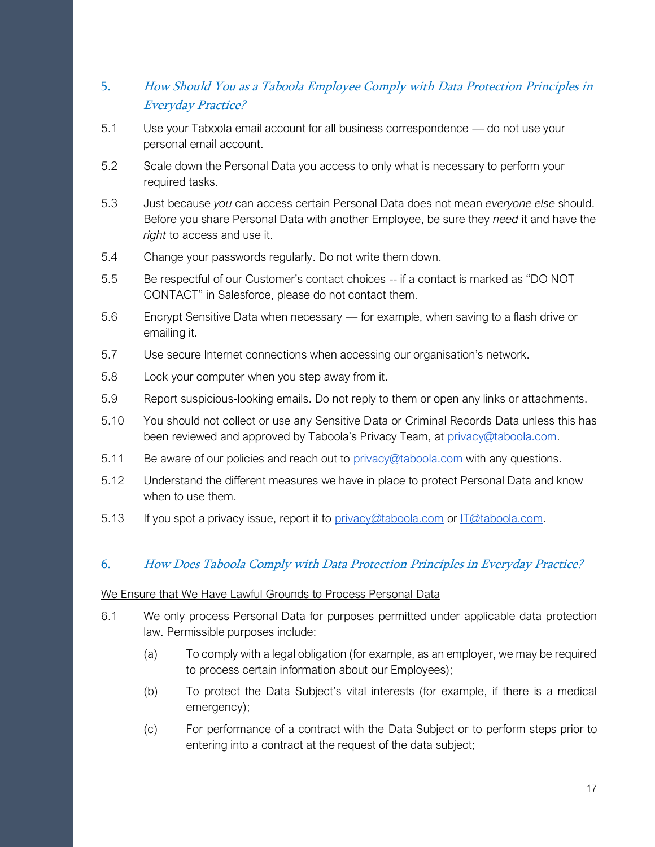## <span id="page-16-0"></span>5. How Should You as a Taboola Employee Comply with Data Protection Principles in Everyday Practice?

- 5.1 Use your Taboola email account for all business correspondence do not use your personal email account.
- 5.2 Scale down the Personal Data you access to only what is necessary to perform your required tasks.
- 5.3 Just because *you* can access certain Personal Data does not mean *everyone else* should. Before you share Personal Data with another Employee, be sure they *need* it and have the *right* to access and use it.
- 5.4 Change your passwords regularly. Do not write them down.
- 5.5 Be respectful of our Customer's contact choices -- if a contact is marked as "DO NOT CONTACT" in Salesforce, please do not contact them.
- 5.6 Encrypt Sensitive Data when necessary for example, when saving to a flash drive or emailing it.
- 5.7 Use secure Internet connections when accessing our organisation's network.
- 5.8 Lock your computer when you step away from it.
- 5.9 Report suspicious-looking emails. Do not reply to them or open any links or attachments.
- 5.10 You should not collect or use any Sensitive Data or Criminal Records Data unless this has been reviewed and approved by Taboola's Privacy Team, at [privacy@taboola.com.](mailto:privacy@taboola.com)
- 5.11 Be aware of our policies and reach out to *privacy@taboola.com* with any questions.
- 5.12 Understand the different measures we have in place to protect Personal Data and know when to use them.
- 5.13 If you spot a privacy issue, report it to [privacy@taboola.com](mailto:privacy@taboola.com) or [IT@taboola.com.](mailto:IT@taboola.com)

## 6. How Does Taboola Comply with Data Protection Principles in Everyday Practice?

#### We Ensure that We Have Lawful Grounds to Process Personal Data

- 6.1 We only process Personal Data for purposes permitted under applicable data protection law. Permissible purposes include:
	- (a) To comply with a legal obligation (for example, as an employer, we may be required to process certain information about our Employees);
	- (b) To protect the Data Subject's vital interests (for example, if there is a medical emergency);
	- (c) For performance of a contract with the Data Subject or to perform steps prior to entering into a contract at the request of the data subject;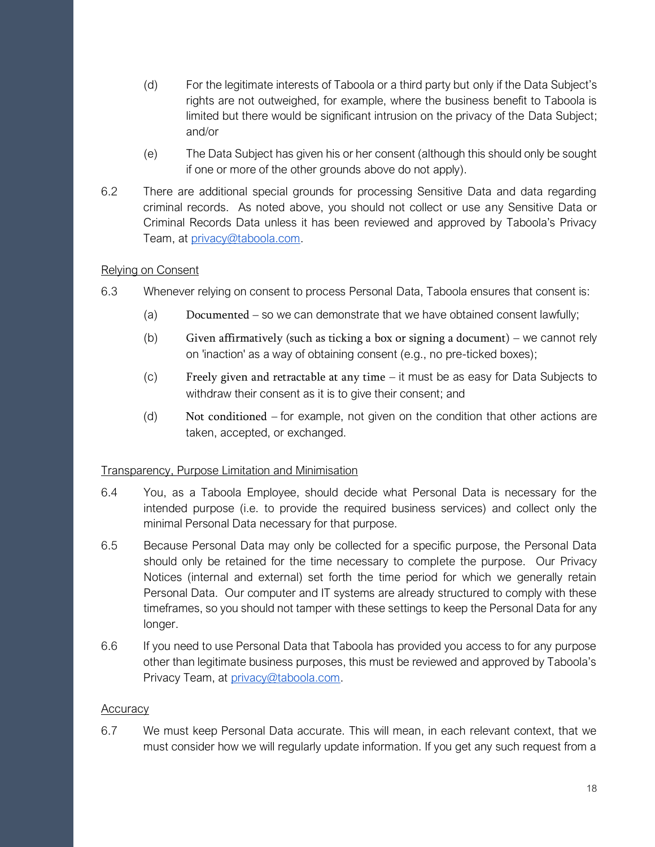- (d) For the legitimate interests of Taboola or a third party but only if the Data Subject's rights are not outweighed, for example, where the business benefit to Taboola is limited but there would be significant intrusion on the privacy of the Data Subject; and/or
- (e) The Data Subject has given his or her consent (although this should only be sought if one or more of the other grounds above do not apply).
- 6.2 There are additional special grounds for processing Sensitive Data and data regarding criminal records. As noted above, you should not collect or use any Sensitive Data or Criminal Records Data unless it has been reviewed and approved by Taboola's Privacy Team, at [privacy@taboola.com.](mailto:privacy@taboola.com)

#### Relying on Consent

- 6.3 Whenever relying on consent to process Personal Data, Taboola ensures that consent is:
	- (a) Documented so we can demonstrate that we have obtained consent lawfully;
	- (b) Given affirmatively (such as ticking a box or signing a document) we cannot rely on 'inaction' as a way of obtaining consent (e.g., no pre-ticked boxes);
	- (c) Freely given and retractable at any time it must be as easy for Data Subjects to withdraw their consent as it is to give their consent; and
	- (d) Not conditioned for example, not given on the condition that other actions are taken, accepted, or exchanged.

#### Transparency, Purpose Limitation and Minimisation

- 6.4 You, as a Taboola Employee, should decide what Personal Data is necessary for the intended purpose (i.e. to provide the required business services) and collect only the minimal Personal Data necessary for that purpose.
- 6.5 Because Personal Data may only be collected for a specific purpose, the Personal Data should only be retained for the time necessary to complete the purpose. Our Privacy Notices (internal and external) set forth the time period for which we generally retain Personal Data. Our computer and IT systems are already structured to comply with these timeframes, so you should not tamper with these settings to keep the Personal Data for any longer.
- 6.6 If you need to use Personal Data that Taboola has provided you access to for any purpose other than legitimate business purposes, this must be reviewed and approved by Taboola's Privacy Team, at [privacy@taboola.com.](mailto:privacy@taboola.com)

#### **Accuracy**

6.7 We must keep Personal Data accurate. This will mean, in each relevant context, that we must consider how we will regularly update information. If you get any such request from a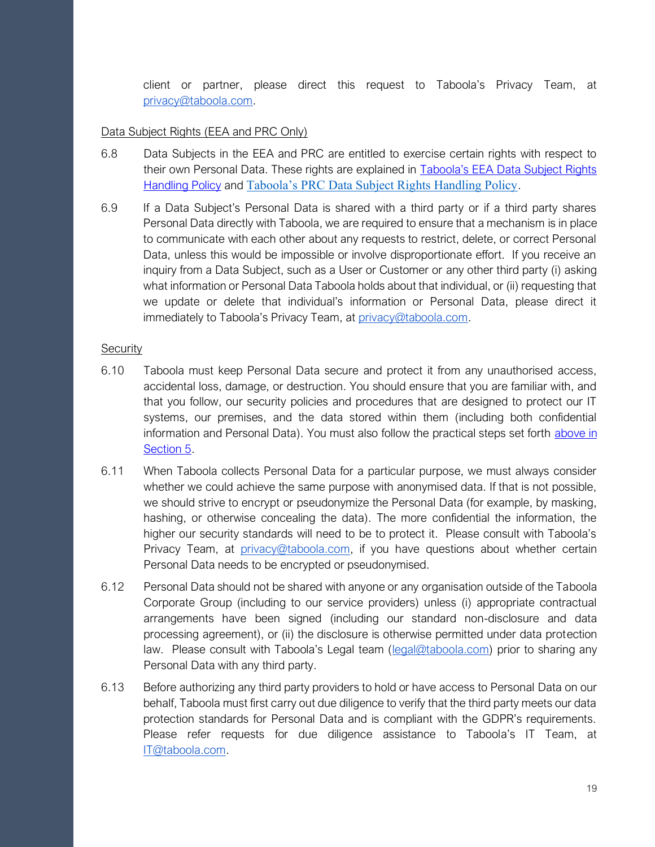client or partner, please direct this request to Taboola's Privacy Team, at [privacy@taboola.com.](mailto:privacy@taboola.com)

#### Data Subject Rights (EEA and PRC Only)

- 6.8 Data Subjects in the EEA and PRC are entitled to exercise certain rights with respect to their own Personal Data. These rights are explained in **Taboola's EEA Data Subject Rights** Handling Policy and [Taboola's PRC Data Subject Rights Handling Policy](#page-30-0).
- 6.9 If a Data Subject's Personal Data is shared with a third party or if a third party shares Personal Data directly with Taboola, we are required to ensure that a mechanism is in place to communicate with each other about any requests to restrict, delete, or correct Personal Data, unless this would be impossible or involve disproportionate effort. If you receive an inquiry from a Data Subject, such as a User or Customer or any other third party (i) asking what information or Personal Data Taboola holds about that individual, or (ii) requesting that we update or delete that individual's information or Personal Data, please direct it immediately to Taboola's Privacy Team, at [privacy@taboola.com.](mailto:privacy@taboola.com)

#### **Security**

- 6.10 Taboola must keep Personal Data secure and protect it from any unauthorised access, accidental loss, damage, or destruction. You should ensure that you are familiar with, and that you follow, our security policies and procedures that are designed to protect our IT systems, our premises, and the data stored within them (including both confidential information and Personal Data). You must also follow the practical steps set forth [above in](#page-16-0)  [Section 5.](#page-16-0)
- 6.11 When Taboola collects Personal Data for a particular purpose, we must always consider whether we could achieve the same purpose with anonymised data. If that is not possible, we should strive to encrypt or pseudonymize the Personal Data (for example, by masking, hashing, or otherwise concealing the data). The more confidential the information, the higher our security standards will need to be to protect it. Please consult with Taboola's Privacy Team, at [privacy@taboola.com,](mailto:privacy@taboola.com) if you have questions about whether certain Personal Data needs to be encrypted or pseudonymised.
- 6.12 Personal Data should not be shared with anyone or any organisation outside of the Taboola Corporate Group (including to our service providers) unless (i) appropriate contractual arrangements have been signed (including our standard non-disclosure and data processing agreement), or (ii) the disclosure is otherwise permitted under data protection law. Please consult with Taboola's Legal team ([legal@taboola.com\)](mailto:legal@taboola.com) prior to sharing any Personal Data with any third party.
- 6.13 Before authorizing any third party providers to hold or have access to Personal Data on our behalf, Taboola must first carry out due diligence to verify that the third party meets our data protection standards for Personal Data and is compliant with the GDPR's requirements. Please refer requests for due diligence assistance to Taboola's IT Team, at [IT@taboola.com.](mailto:IT@taboola.com)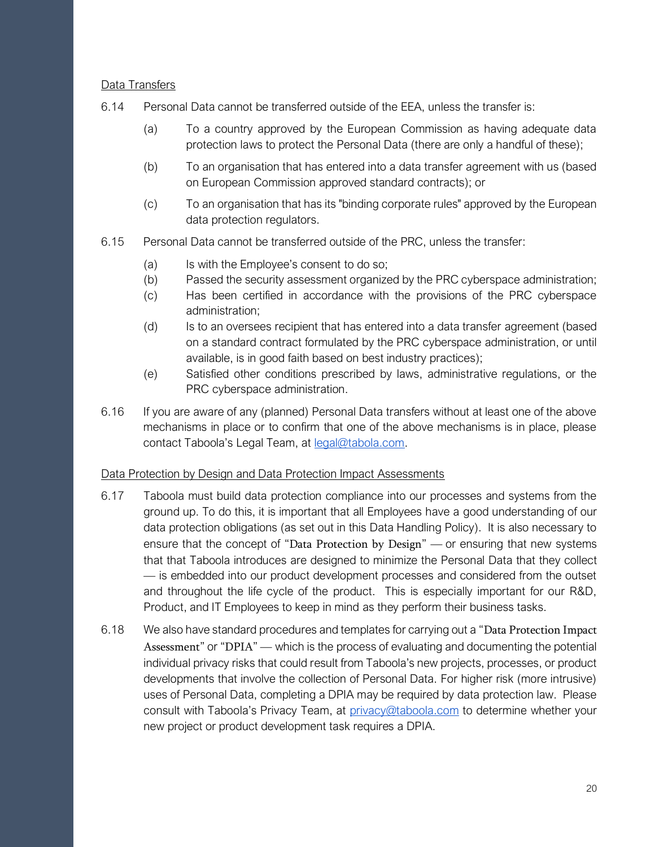#### Data Transfers

- 6.14 Personal Data cannot be transferred outside of the EEA, unless the transfer is:
	- (a) To a country approved by the European Commission as having adequate data protection laws to protect the Personal Data (there are only a handful of these);
	- (b) To an organisation that has entered into a data transfer agreement with us (based on European Commission approved standard contracts); or
	- (c) To an organisation that has its "binding corporate rules" approved by the European data protection regulators.
- 6.15 Personal Data cannot be transferred outside of the PRC, unless the transfer:
	- (a) Is with the Employee's consent to do so;
	- (b) Passed the security assessment organized by the PRC cyberspace administration;
	- (c) Has been certified in accordance with the provisions of the PRC cyberspace administration;
	- (d) Is to an oversees recipient that has entered into a data transfer agreement (based on a standard contract formulated by the PRC cyberspace administration, or until available, is in good faith based on best industry practices);
	- (e) Satisfied other conditions prescribed by laws, administrative regulations, or the PRC cyberspace administration.
- 6.16 If you are aware of any (planned) Personal Data transfers without at least one of the above mechanisms in place or to confirm that one of the above mechanisms is in place, please contact Taboola's Legal Team, at [legal@tabola.com.](mailto:legal@tabola.com)

#### Data Protection by Design and Data Protection Impact Assessments

- 6.17 Taboola must build data protection compliance into our processes and systems from the ground up. To do this, it is important that all Employees have a good understanding of our data protection obligations (as set out in this Data Handling Policy). It is also necessary to ensure that the concept of "Data Protection by Design" — or ensuring that new systems that that Taboola introduces are designed to minimize the Personal Data that they collect — is embedded into our product development processes and considered from the outset and throughout the life cycle of the product. This is especially important for our R&D, Product, and IT Employees to keep in mind as they perform their business tasks.
- 6.18 We also have standard procedures and templates for carrying out a "Data Protection Impact Assessment" or "DPIA" — which is the process of evaluating and documenting the potential individual privacy risks that could result from Taboola's new projects, processes, or product developments that involve the collection of Personal Data. For higher risk (more intrusive) uses of Personal Data, completing a DPIA may be required by data protection law. Please consult with Taboola's Privacy Team, at [privacy@taboola.com](mailto:privacy@taboola.com) to determine whether your new project or product development task requires a DPIA.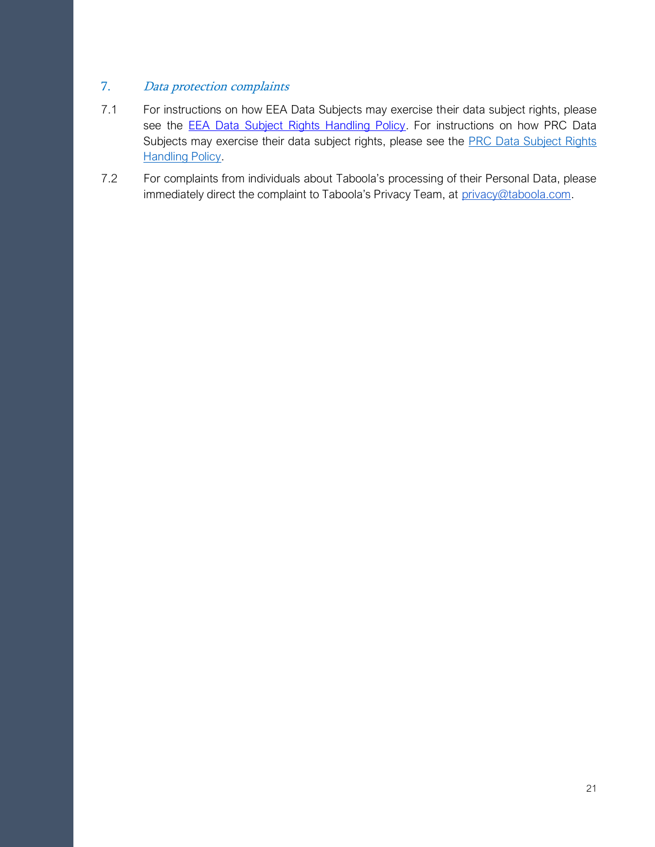## 7. Data protection complaints

- 7.1 For instructions on how EEA Data Subjects may exercise their data subject rights, please see the **EEA Data Subject Rights Handling Policy**. For instructions on how PRC Data Subjects may exercise their data subject rights, please see the **PRC Data Subject Rights [Handling Policy.](#page-30-0)**
- 7.2 For complaints from individuals about Taboola's processing of their Personal Data, please immediately direct the complaint to Taboola's Privacy Team, at [privacy@taboola.com.](mailto:privacy@taboola.com)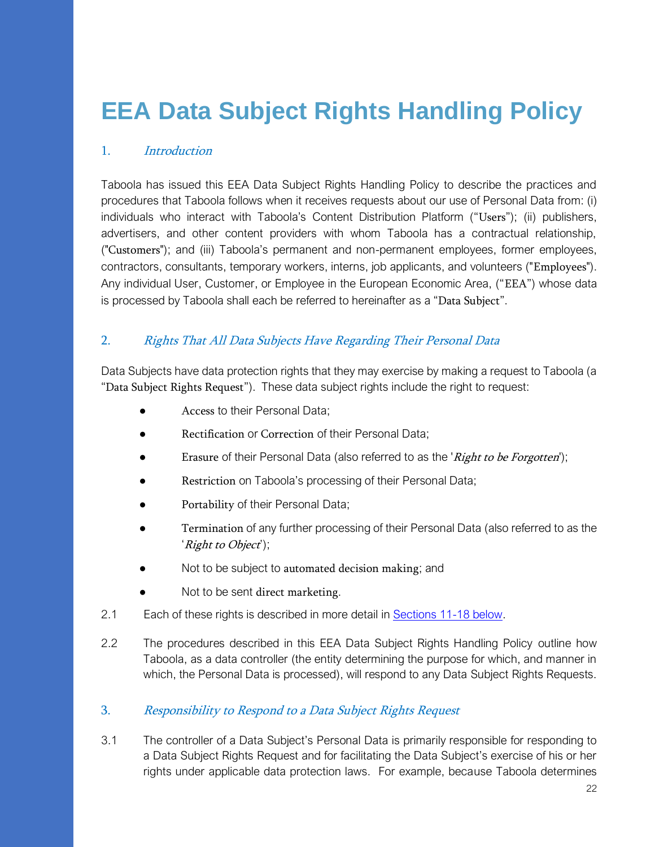# <span id="page-21-0"></span>**EEA Data Subject Rights Handling Policy**

## 1. Introduction

Taboola has issued this EEA Data Subject Rights Handling Policy to describe the practices and procedures that Taboola follows when it receives requests about our use of Personal Data from: (i) individuals who interact with Taboola's Content Distribution Platform ("Users"); (ii) publishers, advertisers, and other content providers with whom Taboola has a contractual relationship, ("Customers"); and (iii) Taboola's permanent and non-permanent employees, former employees, contractors, consultants, temporary workers, interns, job applicants, and volunteers ("Employees"). Any individual User, Customer, or Employee in the European Economic Area, ("EEA") whose data is processed by Taboola shall each be referred to hereinafter as a "Data Subject".

## 2. Rights That All Data Subjects Have Regarding Their Personal Data

Data Subjects have data protection rights that they may exercise by making a request to Taboola (a "Data Subject Rights Request"). These data subject rights include the right to request:

- Access to their Personal Data;
- Rectification or Correction of their Personal Data;
- **•** Erasure of their Personal Data (also referred to as the '*Right to be Forgotten*');
- Restriction on Taboola's processing of their Personal Data;
- Portability of their Personal Data;
- **•** Termination of any further processing of their Personal Data (also referred to as the 'Right to Object');
- Not to be subject to automated decision making; and
- Not to be sent direct marketing.
- 2.1 Each of these rights is described in more detail in **Sections 11-18 below**.
- 2.2 The procedures described in this EEA Data Subject Rights Handling Policy outline how Taboola, as a data controller (the entity determining the purpose for which, and manner in which, the Personal Data is processed), will respond to any Data Subject Rights Requests.
- 3. Responsibility to Respond to a Data Subject Rights Request
- 3.1 The controller of a Data Subject's Personal Data is primarily responsible for responding to a Data Subject Rights Request and for facilitating the Data Subject's exercise of his or her rights under applicable data protection laws. For example, because Taboola determines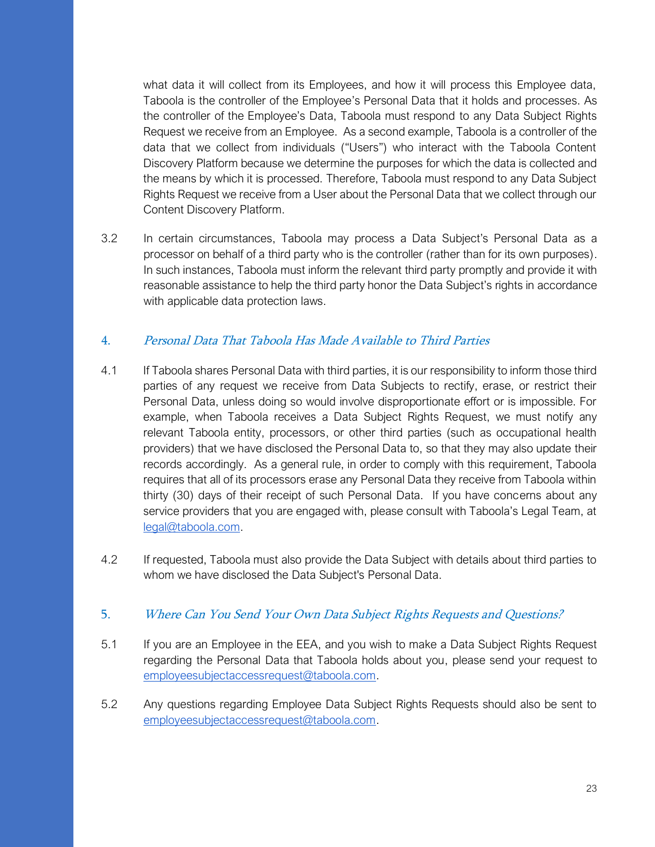what data it will collect from its Employees, and how it will process this Employee data, Taboola is the controller of the Employee's Personal Data that it holds and processes. As the controller of the Employee's Data, Taboola must respond to any Data Subject Rights Request we receive from an Employee. As a second example, Taboola is a controller of the data that we collect from individuals ("Users") who interact with the Taboola Content Discovery Platform because we determine the purposes for which the data is collected and the means by which it is processed. Therefore, Taboola must respond to any Data Subject Rights Request we receive from a User about the Personal Data that we collect through our Content Discovery Platform.

3.2 In certain circumstances, Taboola may process a Data Subject's Personal Data as a processor on behalf of a third party who is the controller (rather than for its own purposes). In such instances, Taboola must inform the relevant third party promptly and provide it with reasonable assistance to help the third party honor the Data Subject's rights in accordance with applicable data protection laws.

#### <span id="page-22-0"></span>4. Personal Data That Taboola Has Made Available to Third Parties

- 4.1 If Taboola shares Personal Data with third parties, it is our responsibility to inform those third parties of any request we receive from Data Subjects to rectify, erase, or restrict their Personal Data, unless doing so would involve disproportionate effort or is impossible. For example, when Taboola receives a Data Subject Rights Request, we must notify any relevant Taboola entity, processors, or other third parties (such as occupational health providers) that we have disclosed the Personal Data to, so that they may also update their records accordingly. As a general rule, in order to comply with this requirement, Taboola requires that all of its processors erase any Personal Data they receive from Taboola within thirty (30) days of their receipt of such Personal Data. If you have concerns about any service providers that you are engaged with, please consult with Taboola's Legal Team, at [legal@taboola.com.](mailto:legal@taboola.com)
- 4.2 If requested, Taboola must also provide the Data Subject with details about third parties to whom we have disclosed the Data Subject's Personal Data.

#### 5. Where Can You Send Your Own Data Subject Rights Requests and Questions?

- 5.1 If you are an Employee in the EEA, and you wish to make a Data Subject Rights Request regarding the Personal Data that Taboola holds about you, please send your request to [employeesubjectaccessrequest@taboola.com.](mailto:EmployeeSubjectAccessRights@taboola.com)
- 5.2 Any questions regarding Employee Data Subject Rights Requests should also be sent to [employeesubjectaccessrequest@taboola.com.](mailto:EmployeeSubjectAccessRights@taboola.com)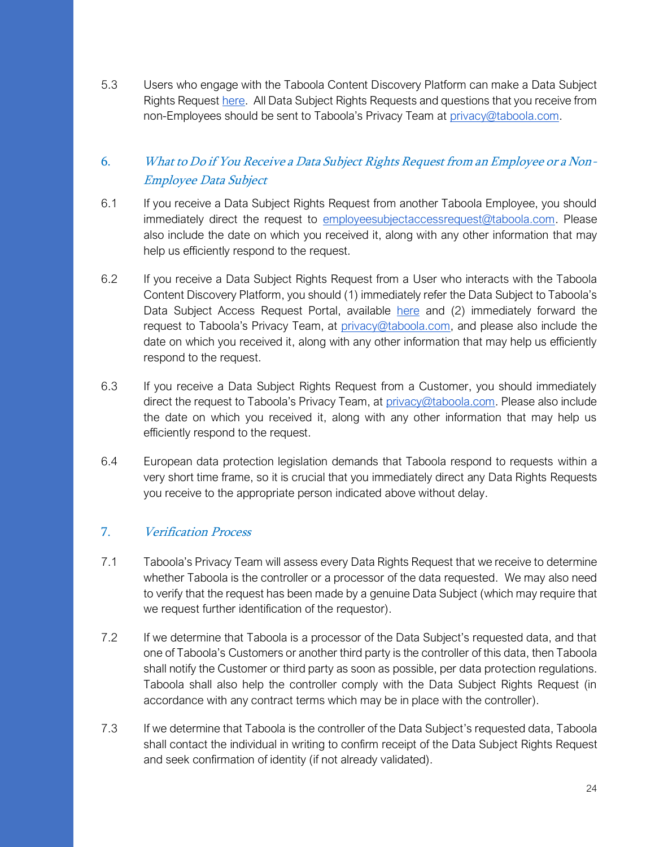5.3 Users who engage with the Taboola Content Discovery Platform can make a Data Subject Rights Reques[t here.](https://accessrequest.taboola.com/access/) All Data Subject Rights Requests and questions that you receive from non-Employees should be sent to Taboola's Privacy Team at [privacy@taboola.com.](mailto:privacy@taboola.com)

## 6. What to Do if You Receive a Data Subject Rights Request from an Employee or a Non-Employee Data Subject

- 6.1 If you receive a Data Subject Rights Request from another Taboola Employee, you should immediately direct the request to [employeesubjectaccessrequest@taboola.com.](mailto:EmployeeSubjectAccessRights@taboola.com) Please also include the date on which you received it, along with any other information that may help us efficiently respond to the request.
- 6.2 If you receive a Data Subject Rights Request from a User who interacts with the Taboola Content Discovery Platform, you should (1) immediately refer the Data Subject to Taboola's Data Subject Access Request Portal, available [here](https://accessrequest.taboola.com/access/) and (2) immediately forward the request to Taboola's Privacy Team, at [privacy@taboola.com,](mailto:privacy@taboola.com) and please also include the date on which you received it, along with any other information that may help us efficiently respond to the request.
- 6.3 If you receive a Data Subject Rights Request from a Customer, you should immediately direct the request to Taboola's Privacy Team, at [privacy@taboola.com.](mailto:privacy@taboola.com) Please also include the date on which you received it, along with any other information that may help us efficiently respond to the request.
- 6.4 European data protection legislation demands that Taboola respond to requests within a very short time frame, so it is crucial that you immediately direct any Data Rights Requests you receive to the appropriate person indicated above without delay.

## 7. Verification Process

- 7.1 Taboola's Privacy Team will assess every Data Rights Request that we receive to determine whether Taboola is the controller or a processor of the data requested. We may also need to verify that the request has been made by a genuine Data Subject (which may require that we request further identification of the requestor).
- 7.2 If we determine that Taboola is a processor of the Data Subject's requested data, and that one of Taboola's Customers or another third party is the controller of this data, then Taboola shall notify the Customer or third party as soon as possible, per data protection regulations. Taboola shall also help the controller comply with the Data Subject Rights Request (in accordance with any contract terms which may be in place with the controller).
- 7.3 If we determine that Taboola is the controller of the Data Subject's requested data, Taboola shall contact the individual in writing to confirm receipt of the Data Subject Rights Request and seek confirmation of identity (if not already validated).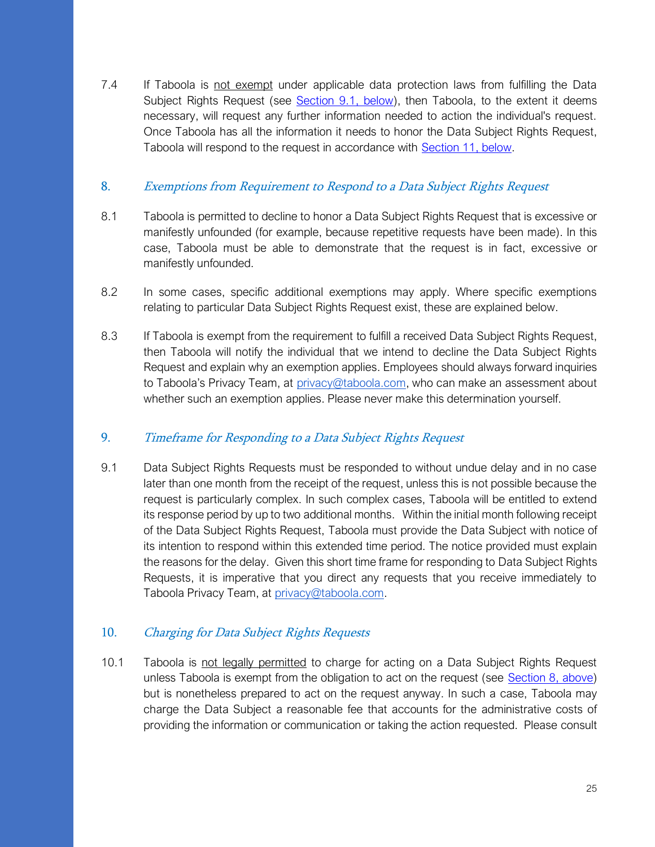7.4 If Taboola is not exempt under applicable data protection laws from fulfilling the Data Subject Rights Request (see [Section 9.1, below\)](#page-24-0), then Taboola, to the extent it deems necessary, will request any further information needed to action the individual's request. Once Taboola has all the information it needs to honor the Data Subject Rights Request, Taboola will respond to the request in accordance with [Section 11, below.](#page-25-0)

#### <span id="page-24-1"></span>8. Exemptions from Requirement to Respond to a Data Subject Rights Request

- 8.1 Taboola is permitted to decline to honor a Data Subject Rights Request that is excessive or manifestly unfounded (for example, because repetitive requests have been made). In this case, Taboola must be able to demonstrate that the request is in fact, excessive or manifestly unfounded.
- 8.2 In some cases, specific additional exemptions may apply. Where specific exemptions relating to particular Data Subject Rights Request exist, these are explained below.
- 8.3 If Taboola is exempt from the requirement to fulfill a received Data Subject Rights Request, then Taboola will notify the individual that we intend to decline the Data Subject Rights Request and explain why an exemption applies. Employees should always forward inquiries to Taboola's Privacy Team, at [privacy@taboola.com,](mailto:privacy@taboola.com) who can make an assessment about whether such an exemption applies. Please never make this determination yourself.

## <span id="page-24-0"></span>9. Timeframe for Responding to a Data Subject Rights Request

9.1 Data Subject Rights Requests must be responded to without undue delay and in no case later than one month from the receipt of the request, unless this is not possible because the request is particularly complex. In such complex cases, Taboola will be entitled to extend its response period by up to two additional months. Within the initial month following receipt of the Data Subject Rights Request, Taboola must provide the Data Subject with notice of its intention to respond within this extended time period. The notice provided must explain the reasons for the delay. Given this short time frame for responding to Data Subject Rights Requests, it is imperative that you direct any requests that you receive immediately to Taboola Privacy Team, at [privacy@taboola.com.](mailto:privacy@taboola.com)

## 10. Charging for Data Subject Rights Requests

10.1 Taboola is not legally permitted to charge for acting on a Data Subject Rights Request unless Taboola is exempt from the obligation to act on the request (see [Section 8, above\)](#page-24-1) but is nonetheless prepared to act on the request anyway. In such a case, Taboola may charge the Data Subject a reasonable fee that accounts for the administrative costs of providing the information or communication or taking the action requested. Please consult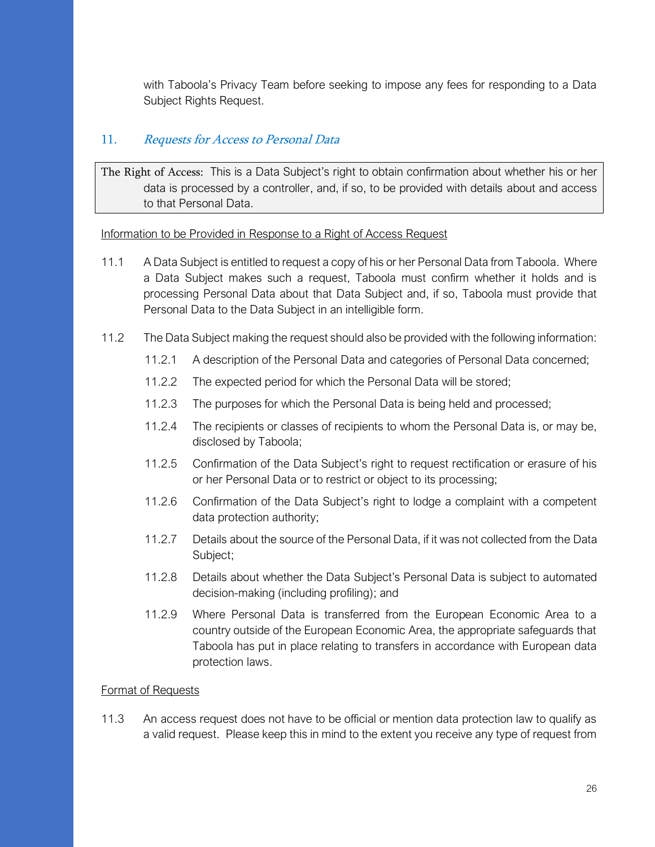with Taboola's Privacy Team before seeking to impose any fees for responding to a Data Subject Rights Request.

## <span id="page-25-0"></span>11. Requests for Access to Personal Data

The Right of Access: This is a Data Subject's right to obtain confirmation about whether his or her data is processed by a controller, and, if so, to be provided with details about and access to that Personal Data.

Information to be Provided in Response to a Right of Access Request

- 11.1 A Data Subject is entitled to request a copy of his or her Personal Data from Taboola. Where a Data Subject makes such a request, Taboola must confirm whether it holds and is processing Personal Data about that Data Subject and, if so, Taboola must provide that Personal Data to the Data Subject in an intelligible form.
- 11.2 The Data Subject making the request should also be provided with the following information:
	- 11.2.1 A description of the Personal Data and categories of Personal Data concerned;
	- 11.2.2 The expected period for which the Personal Data will be stored;
	- 11.2.3 The purposes for which the Personal Data is being held and processed;
	- 11.2.4 The recipients or classes of recipients to whom the Personal Data is, or may be, disclosed by Taboola;
	- 11.2.5 Confirmation of the Data Subject's right to request rectification or erasure of his or her Personal Data or to restrict or object to its processing;
	- 11.2.6 Confirmation of the Data Subject's right to lodge a complaint with a competent data protection authority;
	- 11.2.7 Details about the source of the Personal Data, if it was not collected from the Data Subject;
	- 11.2.8 Details about whether the Data Subject's Personal Data is subject to automated decision-making (including profiling); and
	- 11.2.9 Where Personal Data is transferred from the European Economic Area to a country outside of the European Economic Area, the appropriate safeguards that Taboola has put in place relating to transfers in accordance with European data protection laws.

#### Format of Requests

11.3 An access request does not have to be official or mention data protection law to qualify as a valid request. Please keep this in mind to the extent you receive any type of request from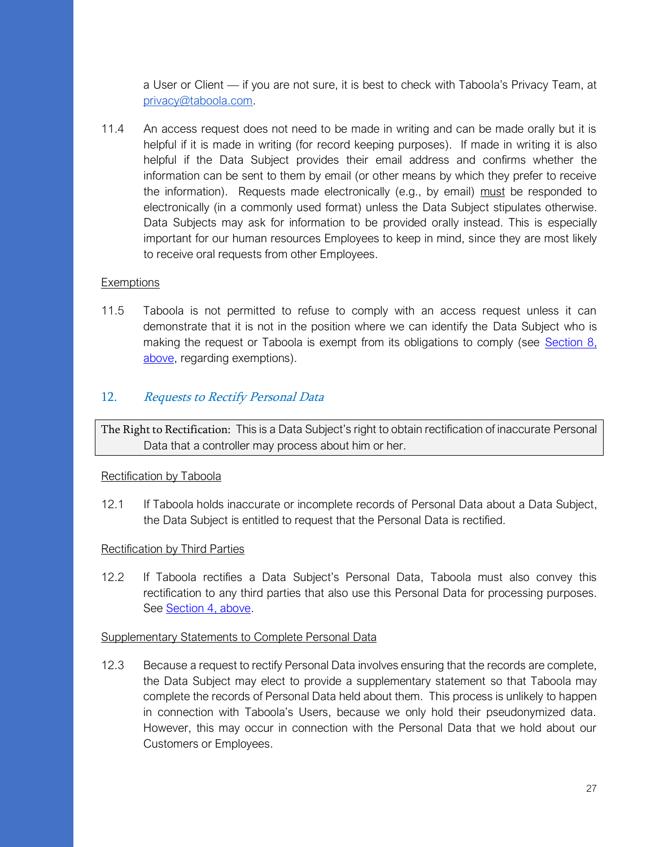a User or Client — if you are not sure, it is best to check with Taboola's Privacy Team, at [privacy@taboola.com.](mailto:privacy@taboola.com)

11.4 An access request does not need to be made in writing and can be made orally but it is helpful if it is made in writing (for record keeping purposes). If made in writing it is also helpful if the Data Subject provides their email address and confirms whether the information can be sent to them by email (or other means by which they prefer to receive the information). Requests made electronically (e.g., by email) must be responded to electronically (in a commonly used format) unless the Data Subject stipulates otherwise. Data Subjects may ask for information to be provided orally instead. This is especially important for our human resources Employees to keep in mind, since they are most likely to receive oral requests from other Employees.

#### **Exemptions**

11.5 Taboola is not permitted to refuse to comply with an access request unless it can demonstrate that it is not in the position where we can identify the Data Subject who is making the request or Taboola is exempt from its obligations to comply (see [Section 8,](#page-24-1)  [above,](#page-24-1) regarding exemptions).

## 12. Requests to Rectify Personal Data

The Right to Rectification: This is a Data Subject's right to obtain rectification of inaccurate Personal Data that a controller may process about him or her.

#### Rectification by Taboola

12.1 If Taboola holds inaccurate or incomplete records of Personal Data about a Data Subject, the Data Subject is entitled to request that the Personal Data is rectified.

#### Rectification by Third Parties

12.2 If Taboola rectifies a Data Subject's Personal Data, Taboola must also convey this rectification to any third parties that also use this Personal Data for processing purposes. See [Section 4, above.](#page-22-0)

#### Supplementary Statements to Complete Personal Data

12.3 Because a request to rectify Personal Data involves ensuring that the records are complete, the Data Subject may elect to provide a supplementary statement so that Taboola may complete the records of Personal Data held about them. This process is unlikely to happen in connection with Taboola's Users, because we only hold their pseudonymized data. However, this may occur in connection with the Personal Data that we hold about our Customers or Employees.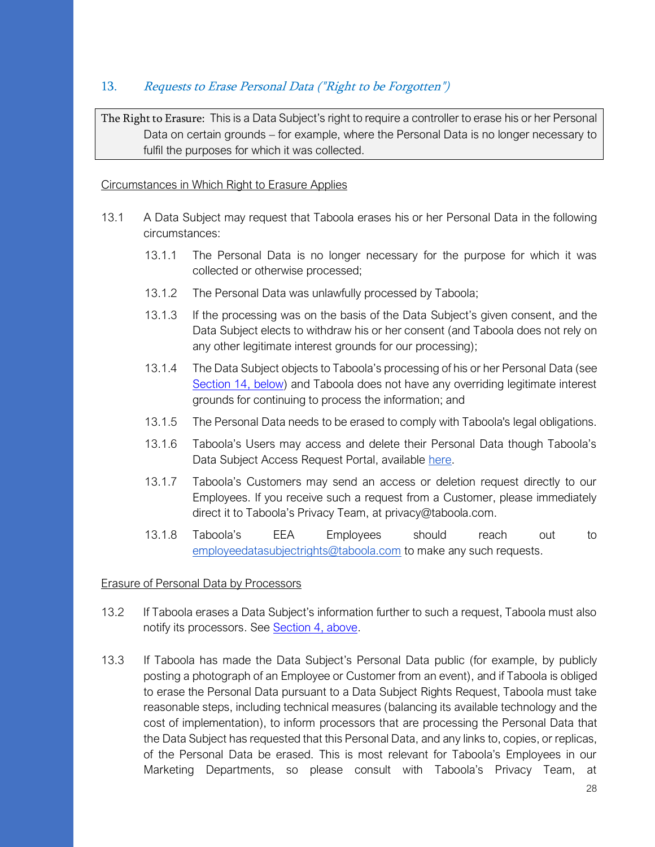## 13. Requests to Erase Personal Data ("Right to be Forgotten")

The Right to Erasure: This is a Data Subject's right to require a controller to erase his or her Personal Data on certain grounds – for example, where the Personal Data is no longer necessary to fulfil the purposes for which it was collected.

#### Circumstances in Which Right to Erasure Applies

- 13.1 A Data Subject may request that Taboola erases his or her Personal Data in the following circumstances:
	- 13.1.1 The Personal Data is no longer necessary for the purpose for which it was collected or otherwise processed;
	- 13.1.2 The Personal Data was unlawfully processed by Taboola;
	- 13.1.3 If the processing was on the basis of the Data Subject's given consent, and the Data Subject elects to withdraw his or her consent (and Taboola does not rely on any other legitimate interest grounds for our processing);
	- 13.1.4 The Data Subject objects to Taboola's processing of his or her Personal Data (see [Section 14, below\)](#page-28-0) and Taboola does not have any overriding legitimate interest grounds for continuing to process the information; and
	- 13.1.5 The Personal Data needs to be erased to comply with Taboola's legal obligations.
	- 13.1.6 Taboola's Users may access and delete their Personal Data though Taboola's Data Subject Access Request Portal, available [here.](https://accessrequest.taboola.com/access/)
	- 13.1.7 Taboola's Customers may send an access or deletion request directly to our Employees. If you receive such a request from a Customer, please immediately direct it to Taboola's Privacy Team, at privacy@taboola.com.
	- 13.1.8 Taboola's EEA Employees should reach out to [employeedatasubjectrights@taboola.com](mailto:Employeedatasubjectrights@taboola.com) to make any such requests.

#### Erasure of Personal Data by Processors

- 13.2 If Taboola erases a Data Subject's information further to such a request, Taboola must also notify its processors. See **Section 4, above**.
- 13.3 If Taboola has made the Data Subject's Personal Data public (for example, by publicly posting a photograph of an Employee or Customer from an event), and if Taboola is obliged to erase the Personal Data pursuant to a Data Subject Rights Request, Taboola must take reasonable steps, including technical measures (balancing its available technology and the cost of implementation), to inform processors that are processing the Personal Data that the Data Subject has requested that this Personal Data, and any links to, copies, or replicas, of the Personal Data be erased. This is most relevant for Taboola's Employees in our Marketing Departments, so please consult with Taboola's Privacy Team, at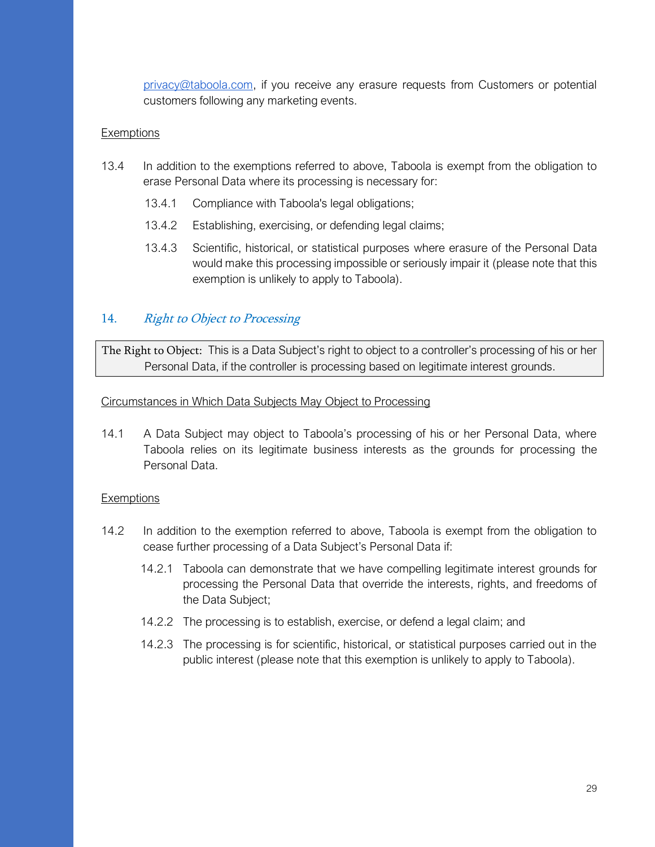[privacy@taboola.com,](mailto:privacy@taboola.com) if you receive any erasure requests from Customers or potential customers following any marketing events.

#### **Exemptions**

- 13.4 In addition to the exemptions referred to above, Taboola is exempt from the obligation to erase Personal Data where its processing is necessary for:
	- 13.4.1 Compliance with Taboola's legal obligations;
	- 13.4.2 Establishing, exercising, or defending legal claims;
	- 13.4.3 Scientific, historical, or statistical purposes where erasure of the Personal Data would make this processing impossible or seriously impair it (please note that this exemption is unlikely to apply to Taboola).

## <span id="page-28-0"></span>14. Right to Object to Processing

The Right to Object: This is a Data Subject's right to object to a controller's processing of his or her Personal Data, if the controller is processing based on legitimate interest grounds.

#### Circumstances in Which Data Subjects May Object to Processing

14.1 A Data Subject may object to Taboola's processing of his or her Personal Data, where Taboola relies on its legitimate business interests as the grounds for processing the Personal Data.

#### **Exemptions**

- 14.2 In addition to the exemption referred to above, Taboola is exempt from the obligation to cease further processing of a Data Subject's Personal Data if:
	- 14.2.1 Taboola can demonstrate that we have compelling legitimate interest grounds for processing the Personal Data that override the interests, rights, and freedoms of the Data Subject;
	- 14.2.2 The processing is to establish, exercise, or defend a legal claim; and
	- 14.2.3 The processing is for scientific, historical, or statistical purposes carried out in the public interest (please note that this exemption is unlikely to apply to Taboola).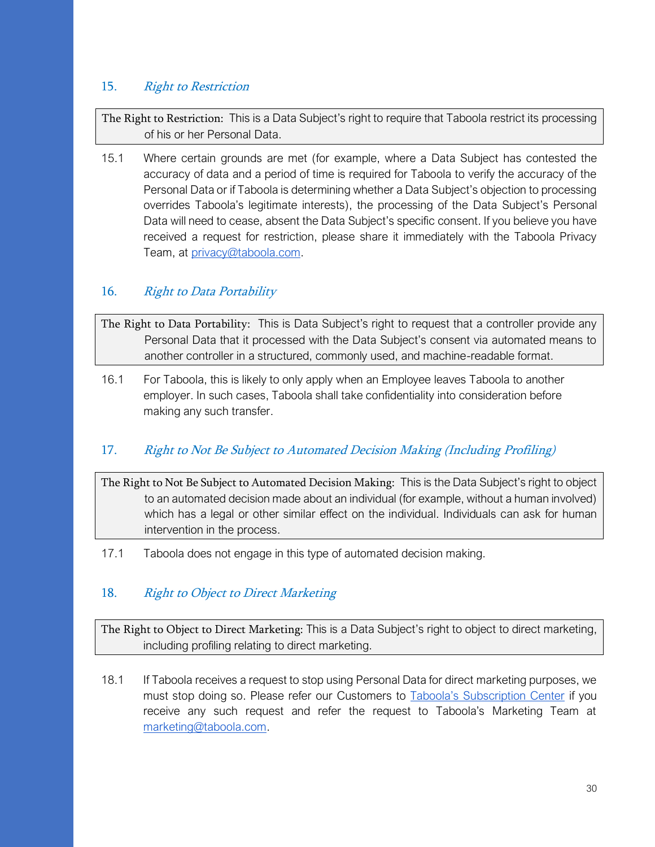## 15. Right to Restriction

The Right to Restriction: This is a Data Subject's right to require that Taboola restrict its processing of his or her Personal Data.

15.1 Where certain grounds are met (for example, where a Data Subject has contested the accuracy of data and a period of time is required for Taboola to verify the accuracy of the Personal Data or if Taboola is determining whether a Data Subject's objection to processing overrides Taboola's legitimate interests), the processing of the Data Subject's Personal Data will need to cease, absent the Data Subject's specific consent. If you believe you have received a request for restriction, please share it immediately with the Taboola Privacy Team, at [privacy@taboola.com.](mailto:privacy@taboola.com)

## 16. Right to Data Portability

The Right to Data Portability: This is Data Subject's right to request that a controller provide any Personal Data that it processed with the Data Subject's consent via automated means to another controller in a structured, commonly used, and machine-readable format.

16.1 For Taboola, this is likely to only apply when an Employee leaves Taboola to another employer. In such cases, Taboola shall take confidentiality into consideration before making any such transfer.

## 17. Right to Not Be Subject to Automated Decision Making (Including Profiling)

The Right to Not Be Subject to Automated Decision Making: This is the Data Subject's right to object to an automated decision made about an individual (for example, without a human involved) which has a legal or other similar effect on the individual. Individuals can ask for human intervention in the process.

17.1 Taboola does not engage in this type of automated decision making.

## 18. Right to Object to Direct Marketing

The Right to Object to Direct Marketing: This is a Data Subject's right to object to direct marketing, including profiling relating to direct marketing.

18.1 If Taboola receives a request to stop using Personal Data for direct marketing purposes, we must stop doing so. Please refer our Customers to [Taboola's Subscription Center](http://pages.taboola.com/SubscriptionCenter2018.html) if you receive any such request and refer the request to Taboola's Marketing Team at [marketing@taboola.com.](mailto:marketing@taboola.com)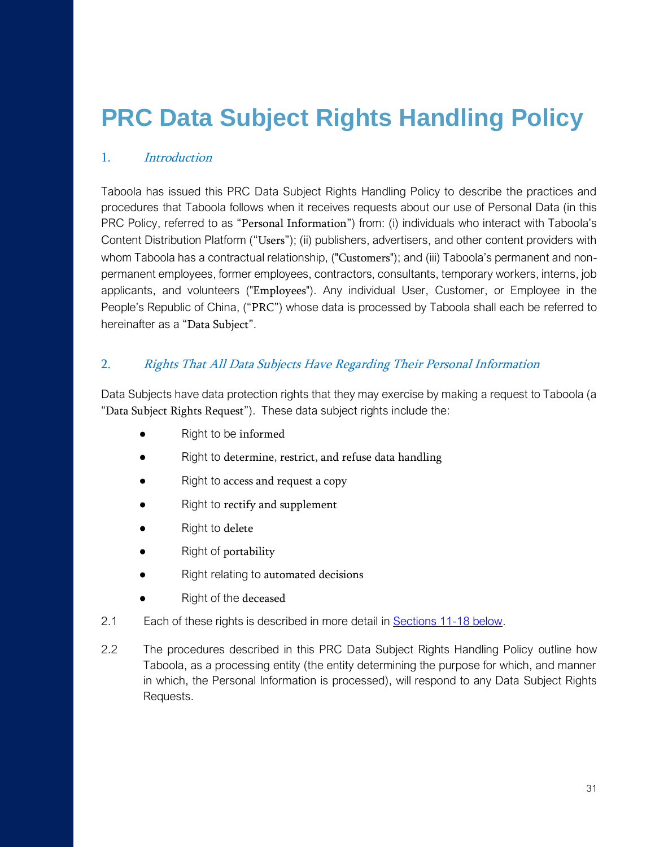## <span id="page-30-0"></span>**PRC Data Subject Rights Handling Policy**

## 1. Introduction

Taboola has issued this PRC Data Subject Rights Handling Policy to describe the practices and procedures that Taboola follows when it receives requests about our use of Personal Data (in this PRC Policy, referred to as "Personal Information") from: (i) individuals who interact with Taboola's Content Distribution Platform ("Users"); (ii) publishers, advertisers, and other content providers with whom Taboola has a contractual relationship, ("Customers"); and (iii) Taboola's permanent and nonpermanent employees, former employees, contractors, consultants, temporary workers, interns, job applicants, and volunteers ("Employees"). Any individual User, Customer, or Employee in the People's Republic of China, ("PRC") whose data is processed by Taboola shall each be referred to hereinafter as a "Data Subject".

#### 2. Rights That All Data Subjects Have Regarding Their Personal Information

Data Subjects have data protection rights that they may exercise by making a request to Taboola (a "Data Subject Rights Request"). These data subject rights include the:

- Right to be informed
- Right to determine, restrict, and refuse data handling
- Right to access and request a copy
- Right to rectify and supplement
- Right to delete
- Right of portability
- Right relating to automated decisions
- Right of the deceased
- 2.1 Each of these rights is described in more detail in **Sections 11-18 below**.
- 2.2 The procedures described in this PRC Data Subject Rights Handling Policy outline how Taboola, as a processing entity (the entity determining the purpose for which, and manner in which, the Personal Information is processed), will respond to any Data Subject Rights Requests.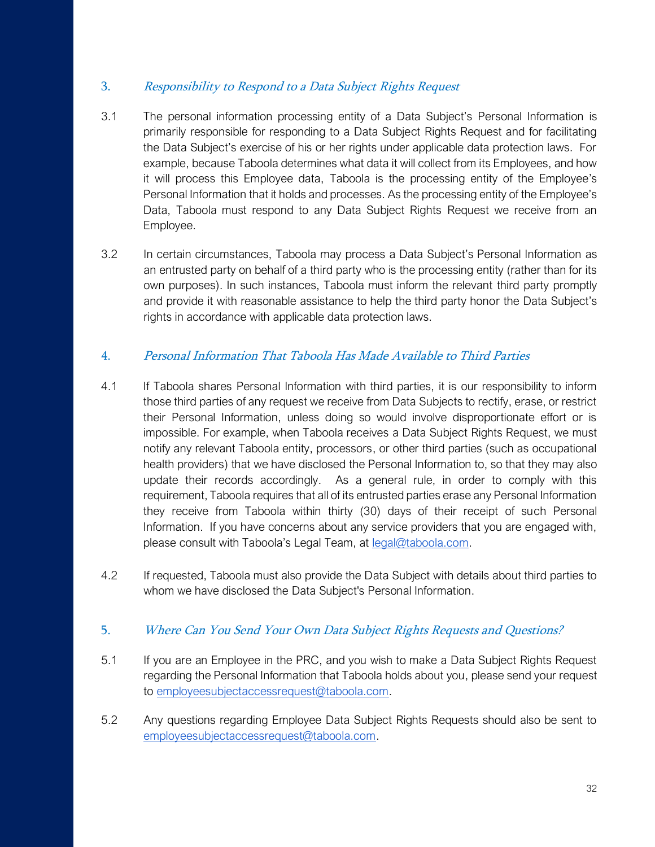## 3. Responsibility to Respond to a Data Subject Rights Request

- 3.1 The personal information processing entity of a Data Subject's Personal Information is primarily responsible for responding to a Data Subject Rights Request and for facilitating the Data Subject's exercise of his or her rights under applicable data protection laws. For example, because Taboola determines what data it will collect from its Employees, and how it will process this Employee data, Taboola is the processing entity of the Employee's Personal Information that it holds and processes. As the processing entity of the Employee's Data, Taboola must respond to any Data Subject Rights Request we receive from an Employee.
- 3.2 In certain circumstances, Taboola may process a Data Subject's Personal Information as an entrusted party on behalf of a third party who is the processing entity (rather than for its own purposes). In such instances, Taboola must inform the relevant third party promptly and provide it with reasonable assistance to help the third party honor the Data Subject's rights in accordance with applicable data protection laws.

## 4. Personal Information That Taboola Has Made Available to Third Parties

- 4.1 If Taboola shares Personal Information with third parties, it is our responsibility to inform those third parties of any request we receive from Data Subjects to rectify, erase, or restrict their Personal Information, unless doing so would involve disproportionate effort or is impossible. For example, when Taboola receives a Data Subject Rights Request, we must notify any relevant Taboola entity, processors, or other third parties (such as occupational health providers) that we have disclosed the Personal Information to, so that they may also update their records accordingly. As a general rule, in order to comply with this requirement, Taboola requires that all of its entrusted parties erase any Personal Information they receive from Taboola within thirty (30) days of their receipt of such Personal Information. If you have concerns about any service providers that you are engaged with, please consult with Taboola's Legal Team, at [legal@taboola.com.](mailto:legal@taboola.com)
- 4.2 If requested, Taboola must also provide the Data Subject with details about third parties to whom we have disclosed the Data Subject's Personal Information.

#### 5. Where Can You Send Your Own Data Subject Rights Requests and Questions?

- 5.1 If you are an Employee in the PRC, and you wish to make a Data Subject Rights Request regarding the Personal Information that Taboola holds about you, please send your request to [employeesubjectaccessrequest@taboola.com.](mailto:EmployeeSubjectAccessRights@taboola.com)
- 5.2 Any questions regarding Employee Data Subject Rights Requests should also be sent to [employeesubjectaccessrequest@taboola.com.](mailto:EmployeeSubjectAccessRights@taboola.com)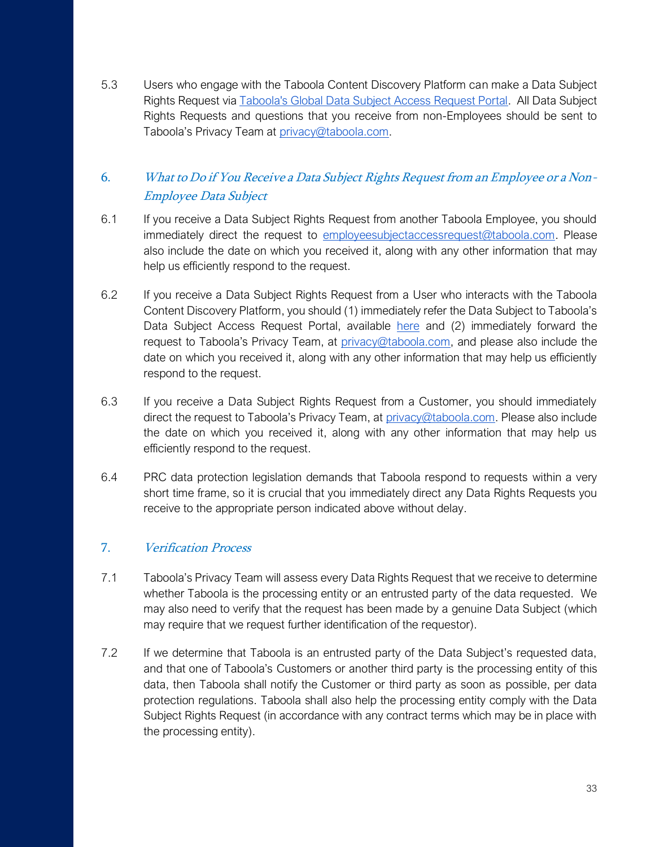5.3 Users who engage with the Taboola Content Discovery Platform can make a Data Subject Rights Request via [Taboola's Global Data Subject Access Request Portal.](https://accessrequest.taboola.com/access) All Data Subject Rights Requests and questions that you receive from non-Employees should be sent to Taboola's Privacy Team at [privacy@taboola.com.](mailto:privacy@taboola.com)

## 6. What to Do if You Receive a Data Subject Rights Request from an Employee or a Non-Employee Data Subject

- 6.1 If you receive a Data Subject Rights Request from another Taboola Employee, you should immediately direct the request to [employeesubjectaccessrequest@taboola.com.](mailto:EmployeeSubjectAccessRights@taboola.com) Please also include the date on which you received it, along with any other information that may help us efficiently respond to the request.
- 6.2 If you receive a Data Subject Rights Request from a User who interacts with the Taboola Content Discovery Platform, you should (1) immediately refer the Data Subject to Taboola's Data Subject Access Request Portal, available [here](https://accessrequest.taboola.com/access) and (2) immediately forward the request to Taboola's Privacy Team, at [privacy@taboola.com,](mailto:privacy@taboola.com) and please also include the date on which you received it, along with any other information that may help us efficiently respond to the request.
- 6.3 If you receive a Data Subject Rights Request from a Customer, you should immediately direct the request to Taboola's Privacy Team, at [privacy@taboola.com.](mailto:privacy@taboola.com) Please also include the date on which you received it, along with any other information that may help us efficiently respond to the request.
- 6.4 PRC data protection legislation demands that Taboola respond to requests within a very short time frame, so it is crucial that you immediately direct any Data Rights Requests you receive to the appropriate person indicated above without delay.

## 7. Verification Process

- 7.1 Taboola's Privacy Team will assess every Data Rights Request that we receive to determine whether Taboola is the processing entity or an entrusted party of the data requested. We may also need to verify that the request has been made by a genuine Data Subject (which may require that we request further identification of the requestor).
- 7.2 If we determine that Taboola is an entrusted party of the Data Subject's requested data, and that one of Taboola's Customers or another third party is the processing entity of this data, then Taboola shall notify the Customer or third party as soon as possible, per data protection regulations. Taboola shall also help the processing entity comply with the Data Subject Rights Request (in accordance with any contract terms which may be in place with the processing entity).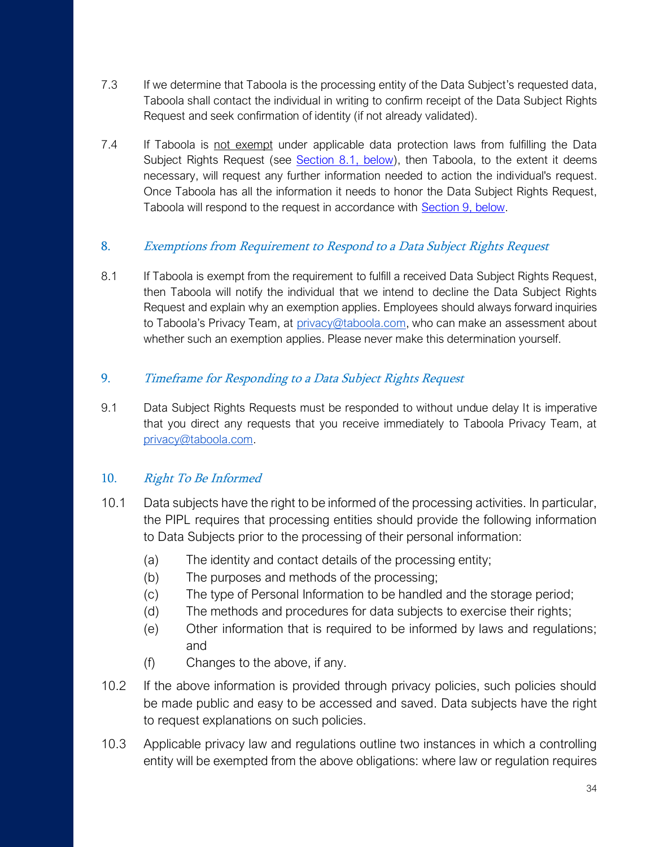- 7.3 If we determine that Taboola is the processing entity of the Data Subject's requested data, Taboola shall contact the individual in writing to confirm receipt of the Data Subject Rights Request and seek confirmation of identity (if not already validated).
- 7.4 If Taboola is not exempt under applicable data protection laws from fulfilling the Data Subject Rights Request (see [Section 8.1, below\)](#page-24-0), then Taboola, to the extent it deems necessary, will request any further information needed to action the individual's request. Once Taboola has all the information it needs to honor the Data Subject Rights Request, Taboola will respond to the request in accordance with **Section 9, below.**

## 8. Exemptions from Requirement to Respond to a Data Subject Rights Request

8.1 If Taboola is exempt from the requirement to fulfill a received Data Subject Rights Request, then Taboola will notify the individual that we intend to decline the Data Subject Rights Request and explain why an exemption applies. Employees should always forward inquiries to Taboola's Privacy Team, at [privacy@taboola.com,](mailto:privacy@taboola.com) who can make an assessment about whether such an exemption applies. Please never make this determination yourself.

## 9. Timeframe for Responding to a Data Subject Rights Request

9.1 Data Subject Rights Requests must be responded to without undue delay It is imperative that you direct any requests that you receive immediately to Taboola Privacy Team, at [privacy@taboola.com.](mailto:privacy@taboola.com)

## 10. Right To Be Informed

- 10.1 Data subjects have the right to be informed of the processing activities. In particular, the PIPL requires that processing entities should provide the following information to Data Subjects prior to the processing of their personal information:
	- (a) The identity and contact details of the processing entity;
	- (b) The purposes and methods of the processing;
	- (c) The type of Personal Information to be handled and the storage period;
	- (d) The methods and procedures for data subjects to exercise their rights;
	- (e) Other information that is required to be informed by laws and regulations; and
	- (f) Changes to the above, if any.
- 10.2 If the above information is provided through privacy policies, such policies should be made public and easy to be accessed and saved. Data subjects have the right to request explanations on such policies.
- 10.3 Applicable privacy law and regulations outline two instances in which a controlling entity will be exempted from the above obligations: where law or regulation requires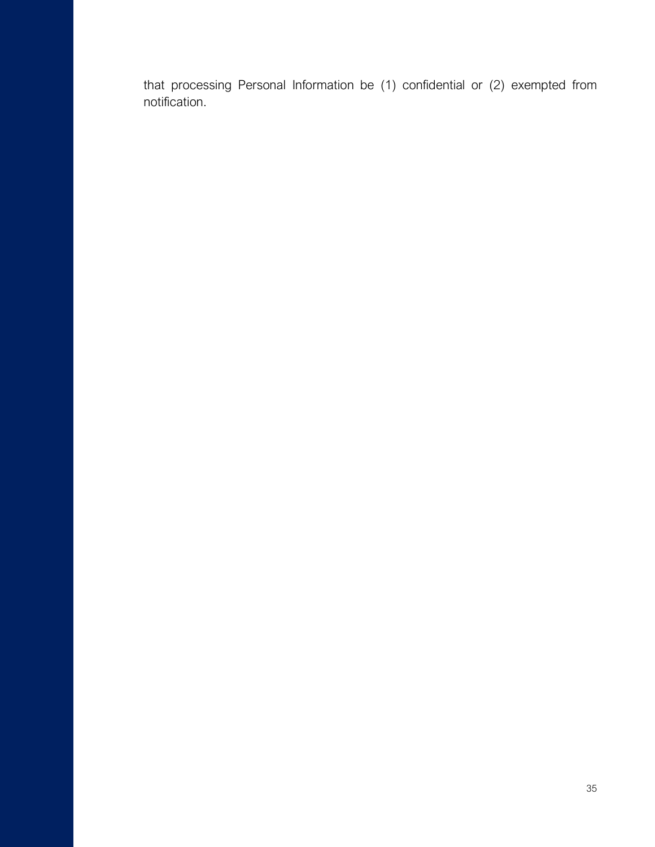that processing Personal Information be (1) confidential or (2) exempted from notification.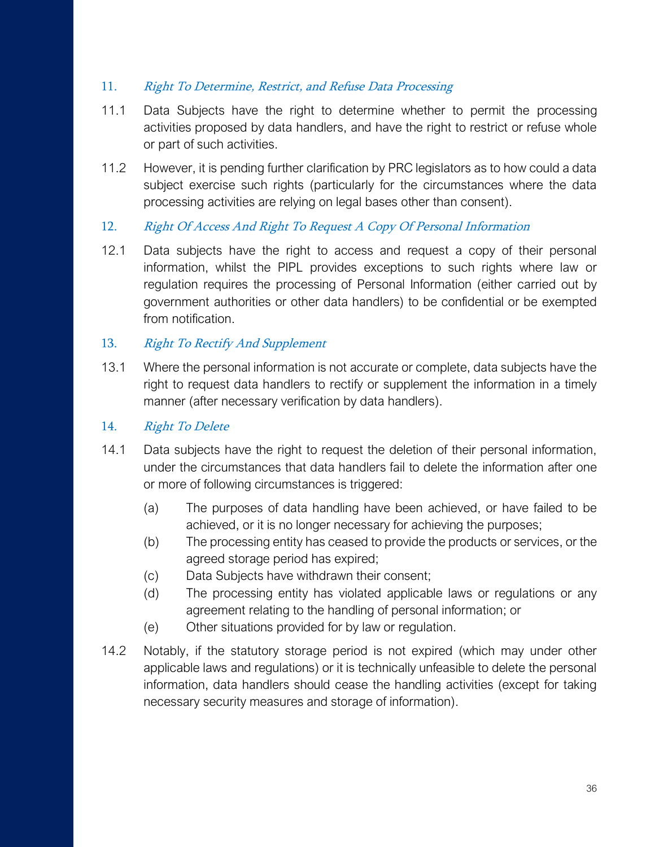## 11. Right To Determine, Restrict, and Refuse Data Processing

- 11.1 Data Subjects have the right to determine whether to permit the processing activities proposed by data handlers, and have the right to restrict or refuse whole or part of such activities.
- 11.2 However, it is pending further clarification by PRC legislators as to how could a data subject exercise such rights (particularly for the circumstances where the data processing activities are relying on legal bases other than consent).
- 12. Right Of Access And Right To Request A Copy Of Personal Information
- 12.1 Data subjects have the right to access and request a copy of their personal information, whilst the PIPL provides exceptions to such rights where law or regulation requires the processing of Personal Information (either carried out by government authorities or other data handlers) to be confidential or be exempted from notification.

## 13. Right To Rectify And Supplement

13.1 Where the personal information is not accurate or complete, data subjects have the right to request data handlers to rectify or supplement the information in a timely manner (after necessary verification by data handlers).

## 14. Right To Delete

- 14.1 Data subjects have the right to request the deletion of their personal information, under the circumstances that data handlers fail to delete the information after one or more of following circumstances is triggered:
	- (a) The purposes of data handling have been achieved, or have failed to be achieved, or it is no longer necessary for achieving the purposes;
	- (b) The processing entity has ceased to provide the products or services, or the agreed storage period has expired;
	- (c) Data Subjects have withdrawn their consent;
	- (d) The processing entity has violated applicable laws or regulations or any agreement relating to the handling of personal information; or
	- (e) Other situations provided for by law or regulation.
- 14.2 Notably, if the statutory storage period is not expired (which may under other applicable laws and regulations) or it is technically unfeasible to delete the personal information, data handlers should cease the handling activities (except for taking necessary security measures and storage of information).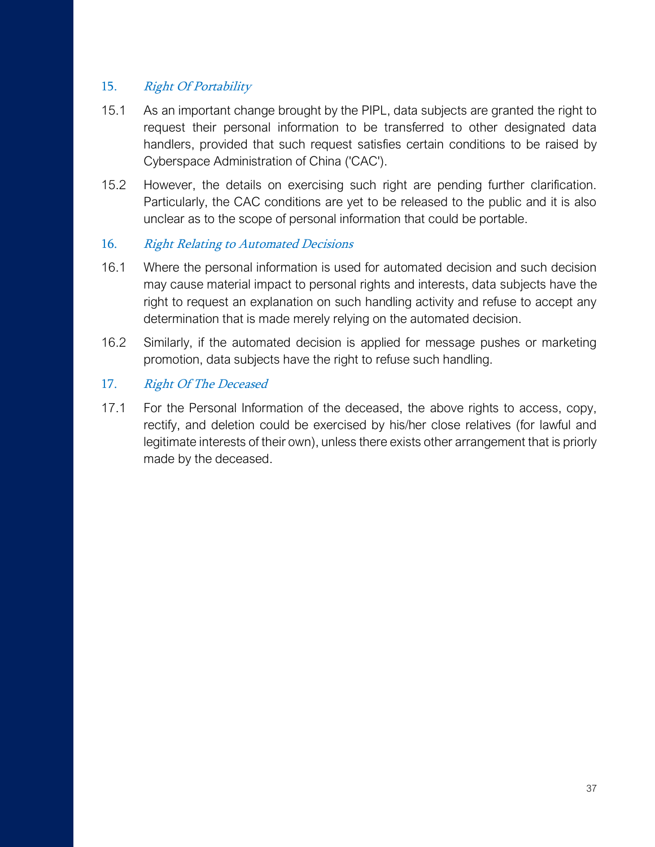## 15. Right Of Portability

- 15.1 As an important change brought by the PIPL, data subjects are granted the right to request their personal information to be transferred to other designated data handlers, provided that such request satisfies certain conditions to be raised by Cyberspace Administration of China ('CAC').
- 15.2 However, the details on exercising such right are pending further clarification. Particularly, the CAC conditions are yet to be released to the public and it is also unclear as to the scope of personal information that could be portable.

## 16. Right Relating to Automated Decisions

- 16.1 Where the personal information is used for automated decision and such decision may cause material impact to personal rights and interests, data subjects have the right to request an explanation on such handling activity and refuse to accept any determination that is made merely relying on the automated decision.
- 16.2 Similarly, if the automated decision is applied for message pushes or marketing promotion, data subjects have the right to refuse such handling.

## 17. Right Of The Deceased

17.1 For the Personal Information of the deceased, the above rights to access, copy, rectify, and deletion could be exercised by his/her close relatives (for lawful and legitimate interests of their own), unless there exists other arrangement that is priorly made by the deceased.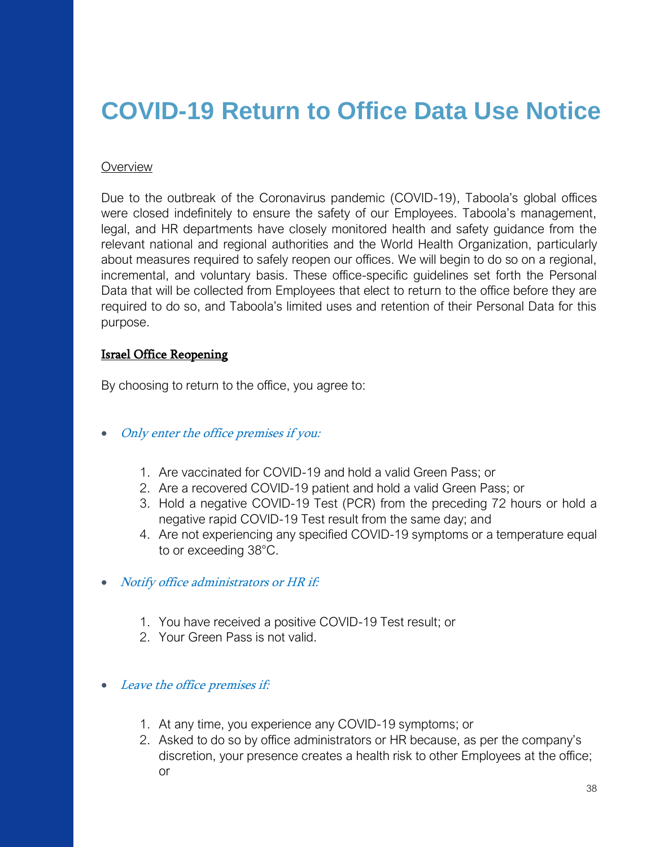## <span id="page-37-0"></span>**COVID-19 Return to Office Data Use Notice**

#### **Overview**

Due to the outbreak of the Coronavirus pandemic (COVID-19), Taboola's global offices were closed indefinitely to ensure the safety of our Employees. Taboola's management, legal, and HR departments have closely monitored health and safety guidance from the relevant national and regional authorities and the World Health Organization, particularly about measures required to safely reopen our offices. We will begin to do so on a regional, incremental, and voluntary basis. These office-specific guidelines set forth the Personal Data that will be collected from Employees that elect to return to the office before they are required to do so, and Taboola's limited uses and retention of their Personal Data for this purpose.

#### Israel Office Reopening

By choosing to return to the office, you agree to:

- Only enter the office premises if you:
	- 1. Are vaccinated for COVID-19 and hold a valid Green Pass; or
	- 2. Are a recovered COVID-19 patient and hold a valid Green Pass; or
	- 3. Hold a negative COVID-19 Test (PCR) from the preceding 72 hours or hold a negative rapid COVID-19 Test result from the same day; and
	- 4. Are not experiencing any specified COVID-19 symptoms or a temperature equal to or exceeding 38°C.
- Notify office administrators or HR if:
	- 1. You have received a positive COVID-19 Test result; or
	- 2. Your Green Pass is not valid.
- Leave the office premises if:
	- 1. At any time, you experience any COVID-19 symptoms; or
	- 2. Asked to do so by office administrators or HR because, as per the company's discretion, your presence creates a health risk to other Employees at the office; or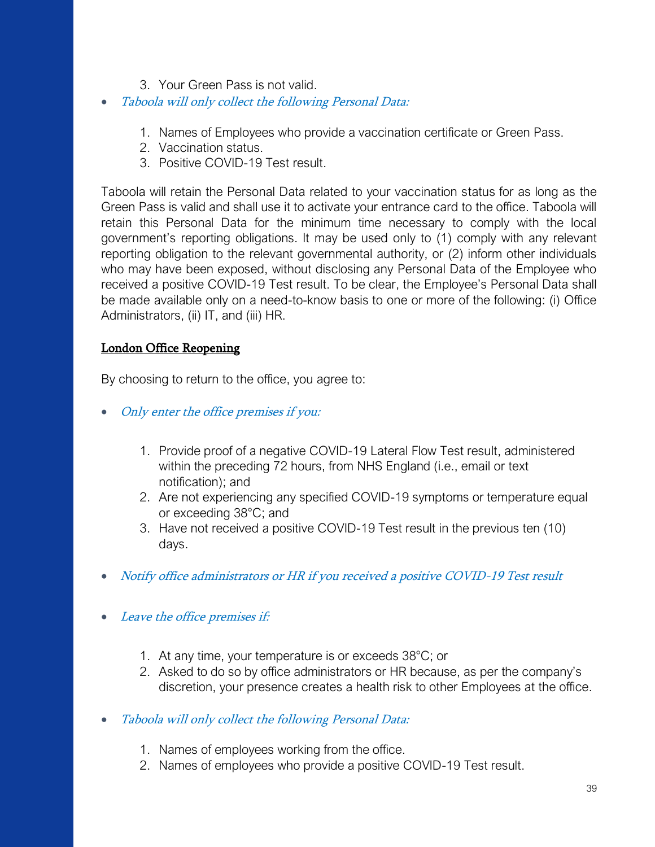- 3. Your Green Pass is not valid.
- Taboola will only collect the following Personal Data:
	- 1. Names of Employees who provide a vaccination certificate or Green Pass.
	- 2. Vaccination status.
	- 3. Positive COVID-19 Test result.

Taboola will retain the Personal Data related to your vaccination status for as long as the Green Pass is valid and shall use it to activate your entrance card to the office. Taboola will retain this Personal Data for the minimum time necessary to comply with the local government's reporting obligations. It may be used only to (1) comply with any relevant reporting obligation to the relevant governmental authority, or (2) inform other individuals who may have been exposed, without disclosing any Personal Data of the Employee who received a positive COVID-19 Test result. To be clear, the Employee's Personal Data shall be made available only on a need-to-know basis to one or more of the following: (i) Office Administrators, (ii) IT, and (iii) HR.

## London Office Reopening

By choosing to return to the office, you agree to:

- Only enter the office premises if you:
	- 1. Provide proof of a negative COVID-19 Lateral Flow Test result, administered within the preceding 72 hours, from NHS England (i.e., email or text notification); and
	- 2. Are not experiencing any specified COVID-19 symptoms or temperature equal or exceeding 38°C; and
	- 3. Have not received a positive COVID-19 Test result in the previous ten (10) days.
- Notify office administrators or HR if you received a positive COVID-19 Test result
- Leave the office premises if:
	- 1. At any time, your temperature is or exceeds 38°C; or
	- 2. Asked to do so by office administrators or HR because, as per the company's discretion, your presence creates a health risk to other Employees at the office.
- Taboola will only collect the following Personal Data:
	- 1. Names of employees working from the office.
	- 2. Names of employees who provide a positive COVID-19 Test result.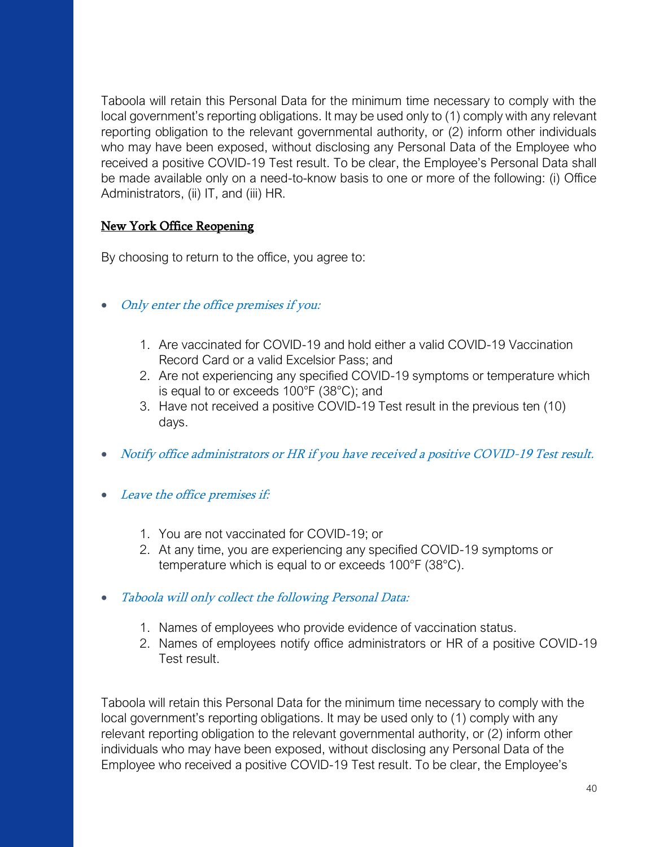Taboola will retain this Personal Data for the minimum time necessary to comply with the local government's reporting obligations. It may be used only to (1) comply with any relevant reporting obligation to the relevant governmental authority, or (2) inform other individuals who may have been exposed, without disclosing any Personal Data of the Employee who received a positive COVID-19 Test result. To be clear, the Employee's Personal Data shall be made available only on a need-to-know basis to one or more of the following: (i) Office Administrators, (ii) IT, and (iii) HR.

## New York Office Reopening

By choosing to return to the office, you agree to:

- Only enter the office premises if you:
	- 1. Are vaccinated for COVID-19 and hold either a valid COVID-19 Vaccination Record Card or a valid Excelsior Pass; and
	- 2. Are not experiencing any specified COVID-19 symptoms or temperature which is equal to or exceeds 100°F (38°C); and
	- 3. Have not received a positive COVID-19 Test result in the previous ten (10) days.
- Notify office administrators or HR if you have received a positive COVID-19 Test result.
- Leave the office premises if:
	- 1. You are not vaccinated for COVID-19; or
	- 2. At any time, you are experiencing any specified COVID-19 symptoms or temperature which is equal to or exceeds 100°F (38°C).
- Taboola will only collect the following Personal Data:
	- 1. Names of employees who provide evidence of vaccination status.
	- 2. Names of employees notify office administrators or HR of a positive COVID-19 Test result.

Taboola will retain this Personal Data for the minimum time necessary to comply with the local government's reporting obligations. It may be used only to (1) comply with any relevant reporting obligation to the relevant governmental authority, or (2) inform other individuals who may have been exposed, without disclosing any Personal Data of the Employee who received a positive COVID-19 Test result. To be clear, the Employee's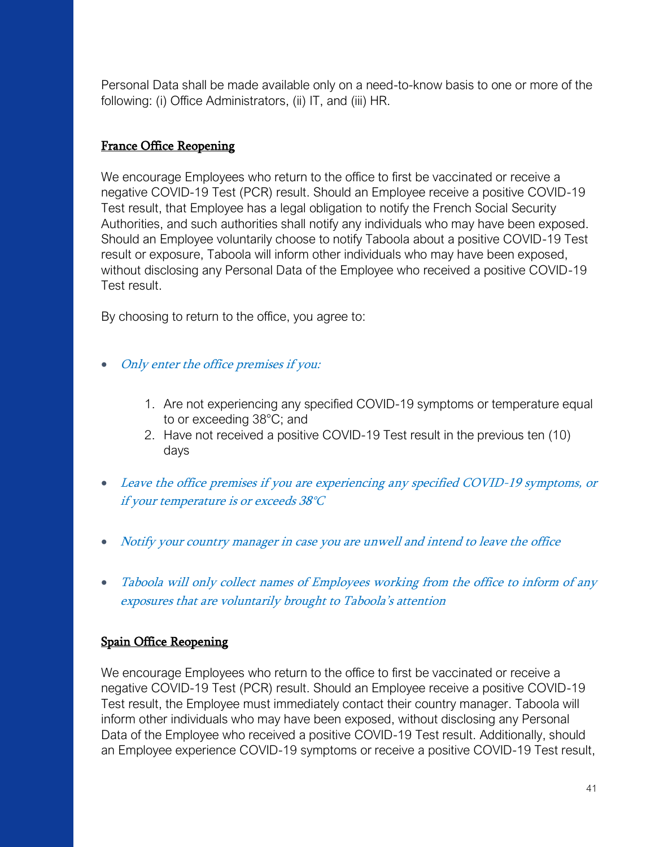Personal Data shall be made available only on a need-to-know basis to one or more of the following: (i) Office Administrators, (ii) IT, and (iii) HR.

## France Office Reopening

We encourage Employees who return to the office to first be vaccinated or receive a negative COVID-19 Test (PCR) result. Should an Employee receive a positive COVID-19 Test result, that Employee has a legal obligation to notify the French Social Security Authorities, and such authorities shall notify any individuals who may have been exposed. Should an Employee voluntarily choose to notify Taboola about a positive COVID-19 Test result or exposure, Taboola will inform other individuals who may have been exposed, without disclosing any Personal Data of the Employee who received a positive COVID-19 Test result.

By choosing to return to the office, you agree to:

- Only enter the office premises if you:
	- 1. Are not experiencing any specified COVID-19 symptoms or temperature equal to or exceeding 38°C; and
	- 2. Have not received a positive COVID-19 Test result in the previous ten (10) days
- Leave the office premises if you are experiencing any specified COVID-19 symptoms, or if your temperature is or exceeds 38°C
- Notify your country manager in case you are unwell and intend to leave the office
- Taboola will only collect names of Employees working from the office to inform of any exposures that are voluntarily brought to Taboola's attention

## Spain Office Reopening

We encourage Employees who return to the office to first be vaccinated or receive a negative COVID-19 Test (PCR) result. Should an Employee receive a positive COVID-19 Test result, the Employee must immediately contact their country manager. Taboola will inform other individuals who may have been exposed, without disclosing any Personal Data of the Employee who received a positive COVID-19 Test result. Additionally, should an Employee experience COVID-19 symptoms or receive a positive COVID-19 Test result,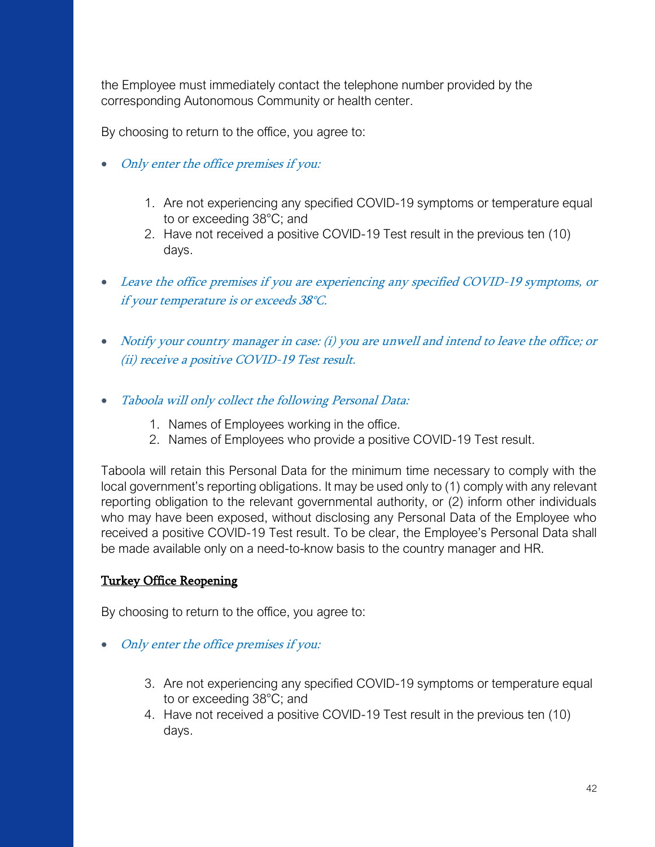the Employee must immediately contact the telephone number provided by the corresponding Autonomous Community or health center.

By choosing to return to the office, you agree to:

- Only enter the office premises if you:
	- 1. Are not experiencing any specified COVID-19 symptoms or temperature equal to or exceeding 38°C; and
	- 2. Have not received a positive COVID-19 Test result in the previous ten (10) days.
- Leave the office premises if you are experiencing any specified COVID-19 symptoms, or if your temperature is or exceeds 38°C.
- Notify your country manager in case: (i) you are unwell and intend to leave the office; or (ii) receive a positive COVID-19 Test result.
- Taboola will only collect the following Personal Data:
	- 1. Names of Employees working in the office.
	- 2. Names of Employees who provide a positive COVID-19 Test result.

Taboola will retain this Personal Data for the minimum time necessary to comply with the local government's reporting obligations. It may be used only to (1) comply with any relevant reporting obligation to the relevant governmental authority, or (2) inform other individuals who may have been exposed, without disclosing any Personal Data of the Employee who received a positive COVID-19 Test result. To be clear, the Employee's Personal Data shall be made available only on a need-to-know basis to the country manager and HR.

## Turkey Office Reopening

By choosing to return to the office, you agree to:

- Only enter the office premises if you:
	- 3. Are not experiencing any specified COVID-19 symptoms or temperature equal to or exceeding 38°C; and
	- 4. Have not received a positive COVID-19 Test result in the previous ten (10) days.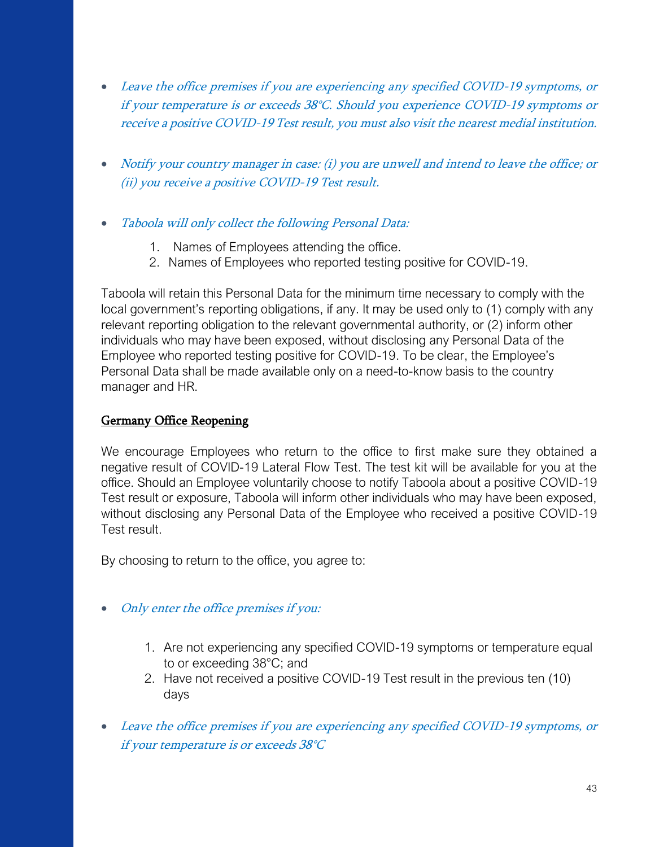- Leave the office premises if you are experiencing any specified COVID-19 symptoms, or if your temperature is or exceeds 38°C. Should you experience COVID-19 symptoms or receive a positive COVID-19 Test result, you must also visit the nearest medial institution.
- Notify your country manager in case: (i) you are unwell and intend to leave the office; or (ii) you receive a positive COVID-19 Test result.
- Taboola will only collect the following Personal Data:
	- 1. Names of Employees attending the office.
	- 2. Names of Employees who reported testing positive for COVID-19.

Taboola will retain this Personal Data for the minimum time necessary to comply with the local government's reporting obligations, if any. It may be used only to (1) comply with any relevant reporting obligation to the relevant governmental authority, or (2) inform other individuals who may have been exposed, without disclosing any Personal Data of the Employee who reported testing positive for COVID-19. To be clear, the Employee's Personal Data shall be made available only on a need-to-know basis to the country manager and HR.

## Germany Office Reopening

We encourage Employees who return to the office to first make sure they obtained a negative result of COVID-19 Lateral Flow Test. The test kit will be available for you at the office. Should an Employee voluntarily choose to notify Taboola about a positive COVID-19 Test result or exposure, Taboola will inform other individuals who may have been exposed, without disclosing any Personal Data of the Employee who received a positive COVID-19 Test result.

By choosing to return to the office, you agree to:

- Only enter the office premises if you:
	- 1. Are not experiencing any specified COVID-19 symptoms or temperature equal to or exceeding 38°C; and
	- 2. Have not received a positive COVID-19 Test result in the previous ten (10) days
- Leave the office premises if you are experiencing any specified COVID-19 symptoms, or if your temperature is or exceeds 38°C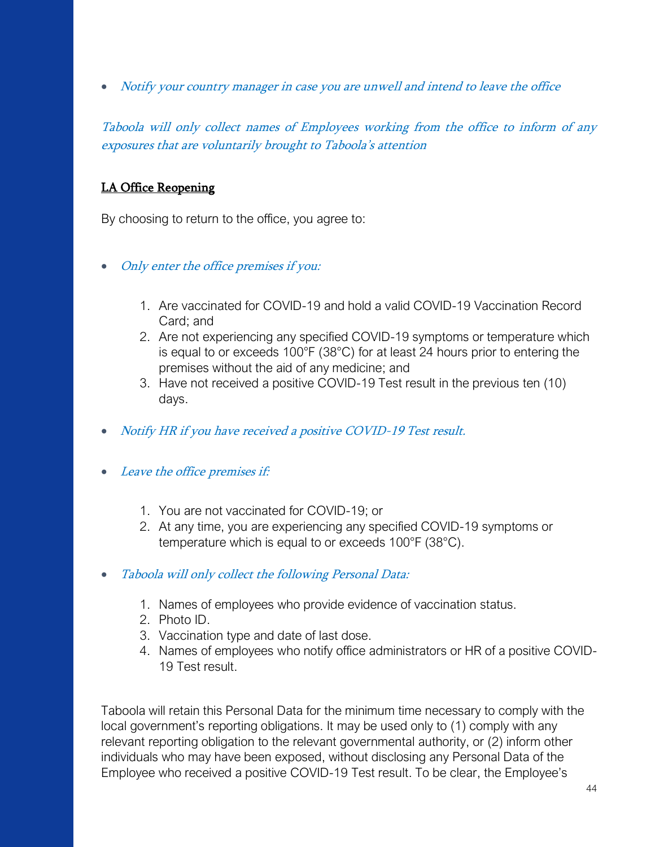• Notify your country manager in case you are unwell and intend to leave the office

Taboola will only collect names of Employees working from the office to inform of any exposures that are voluntarily brought to Taboola's attention

## LA Office Reopening

By choosing to return to the office, you agree to:

- Only enter the office premises if you:
	- 1. Are vaccinated for COVID-19 and hold a valid COVID-19 Vaccination Record Card; and
	- 2. Are not experiencing any specified COVID-19 symptoms or temperature which is equal to or exceeds 100°F (38°C) for at least 24 hours prior to entering the premises without the aid of any medicine; and
	- 3. Have not received a positive COVID-19 Test result in the previous ten (10) days.
- Notify HR if you have received a positive COVID-19 Test result.
- Leave the office premises if:
	- 1. You are not vaccinated for COVID-19; or
	- 2. At any time, you are experiencing any specified COVID-19 symptoms or temperature which is equal to or exceeds 100°F (38°C).
- Taboola will only collect the following Personal Data:
	- 1. Names of employees who provide evidence of vaccination status.
	- 2. Photo ID.
	- 3. Vaccination type and date of last dose.
	- 4. Names of employees who notify office administrators or HR of a positive COVID-19 Test result.

Taboola will retain this Personal Data for the minimum time necessary to comply with the local government's reporting obligations. It may be used only to (1) comply with any relevant reporting obligation to the relevant governmental authority, or (2) inform other individuals who may have been exposed, without disclosing any Personal Data of the Employee who received a positive COVID-19 Test result. To be clear, the Employee's